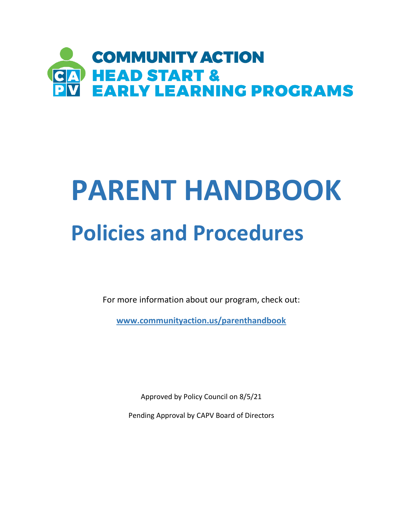

# **PARENT HANDBOOK Policies and Procedures**

For more information about our program, check out:

**[www.communityaction.us/parenthandbook](file:///C:/Users/ADustin/Documents/www.communityaction.us/parenthandbook)** 

Approved by Policy Council on 8/5/21

Pending Approval by CAPV Board of Directors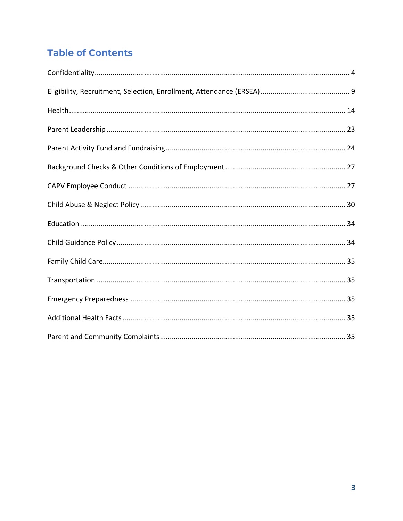# **Table of Contents**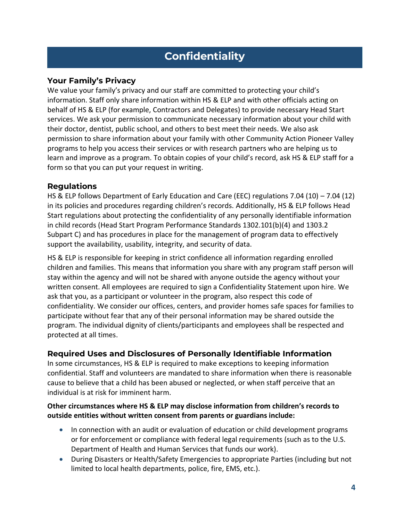# **Confidentiality**

# **Your Family's Privacy**

We value your family's privacy and our staff are committed to protecting your child's information. Staff only share information within HS & ELP and with other officials acting on behalf of HS & ELP (for example, Contractors and Delegates) to provide necessary Head Start services. We ask your permission to communicate necessary information about your child with their doctor, dentist, public school, and others to best meet their needs. We also ask permission to share information about your family with other Community Action Pioneer Valley programs to help you access their services or with research partners who are helping us to learn and improve as a program. To obtain copies of your child's record, ask HS & ELP staff for a form so that you can put your request in writing.

### **Regulations**

HS & ELP follows Department of Early Education and Care (EEC) regulations 7.04 (10) – 7.04 (12) in its policies and procedures regarding children's records. Additionally, HS & ELP follows Head Start regulations about protecting the confidentiality of any personally identifiable information in child records (Head Start Program Performance Standards 1302.101(b)(4) and 1303.2 Subpart C) and has procedures in place for the management of program data to effectively support the availability, usability, integrity, and security of data.

HS & ELP is responsible for keeping in strict confidence all information regarding enrolled children and families. This means that information you share with any program staff person will stay within the agency and will not be shared with anyone outside the agency without your written consent. All employees are required to sign a Confidentiality Statement upon hire. We ask that you, as a participant or volunteer in the program, also respect this code of confidentiality. We consider our offices, centers, and provider homes safe spaces for families to participate without fear that any of their personal information may be shared outside the program. The individual dignity of clients/participants and employees shall be respected and protected at all times.

# **Required Uses and Disclosures of Personally Identifiable Information**

In some circumstances, HS & ELP is required to make exceptions to keeping information confidential. Staff and volunteers are mandated to share information when there is reasonable cause to believe that a child has been abused or neglected, or when staff perceive that an individual is at risk for imminent harm.

### **Other circumstances where HS & ELP may disclose information from children's records to outside entities without written consent from parents or guardians include:**

- In connection with an audit or evaluation of education or child development programs or for enforcement or compliance with federal legal requirements (such as to the U.S. Department of Health and Human Services that funds our work).
- During Disasters or Health/Safety Emergencies to appropriate Parties (including but not limited to local health departments, police, fire, EMS, etc.).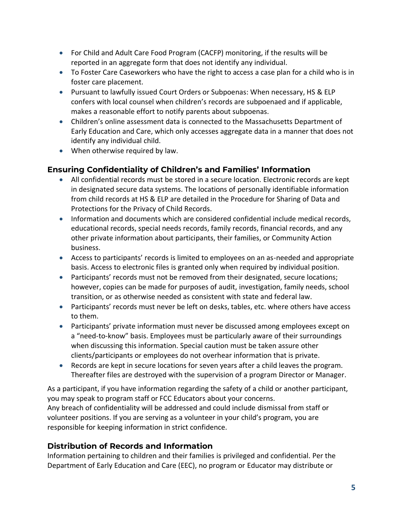- For Child and Adult Care Food Program (CACFP) monitoring, if the results will be reported in an aggregate form that does not identify any individual.
- To Foster Care Caseworkers who have the right to access a case plan for a child who is in foster care placement.
- Pursuant to lawfully issued Court Orders or Subpoenas: When necessary, HS & ELP confers with local counsel when children's records are subpoenaed and if applicable, makes a reasonable effort to notify parents about subpoenas.
- Children's online assessment data is connected to the Massachusetts Department of Early Education and Care, which only accesses aggregate data in a manner that does not identify any individual child.
- When otherwise required by law.

# **Ensuring Confidentiality of Children's and Families' Information**

- All confidential records must be stored in a secure location. Electronic records are kept in designated secure data systems. The locations of personally identifiable information from child records at HS & ELP are detailed in the Procedure for Sharing of Data and Protections for the Privacy of Child Records.
- Information and documents which are considered confidential include medical records, educational records, special needs records, family records, financial records, and any other private information about participants, their families, or Community Action business.
- Access to participants' records is limited to employees on an as-needed and appropriate basis. Access to electronic files is granted only when required by individual position.
- Participants' records must not be removed from their designated, secure locations; however, copies can be made for purposes of audit, investigation, family needs, school transition, or as otherwise needed as consistent with state and federal law.
- Participants' records must never be left on desks, tables, etc. where others have access to them.
- Participants' private information must never be discussed among employees except on a "need-to-know" basis. Employees must be particularly aware of their surroundings when discussing this information. Special caution must be taken assure other clients/participants or employees do not overhear information that is private.
- Records are kept in secure locations for seven years after a child leaves the program. Thereafter files are destroyed with the supervision of a program Director or Manager.

As a participant, if you have information regarding the safety of a child or another participant, you may speak to program staff or FCC Educators about your concerns. Any breach of confidentiality will be addressed and could include dismissal from staff or volunteer positions. If you are serving as a volunteer in your child's program, you are responsible for keeping information in strict confidence.

# **Distribution of Records and Information**

Information pertaining to children and their families is privileged and confidential. Per the Department of Early Education and Care (EEC), no program or Educator may distribute or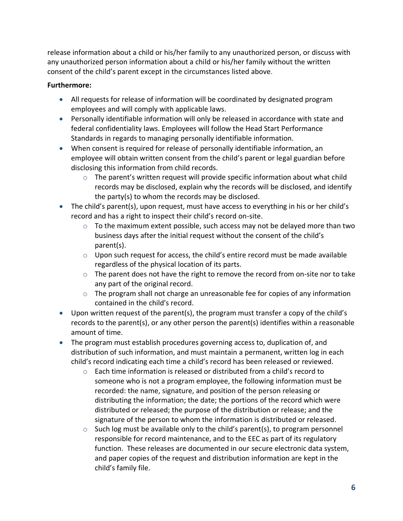release information about a child or his/her family to any unauthorized person, or discuss with any unauthorized person information about a child or his/her family without the written consent of the child's parent except in the circumstances listed above.

### **Furthermore:**

- All requests for release of information will be coordinated by designated program employees and will comply with applicable laws.
- Personally identifiable information will only be released in accordance with state and federal confidentiality laws. Employees will follow the Head Start Performance Standards in regards to managing personally identifiable information.
- When consent is required for release of personally identifiable information, an employee will obtain written consent from the child's parent or legal guardian before disclosing this information from child records.
	- $\circ$  The parent's written request will provide specific information about what child records may be disclosed, explain why the records will be disclosed, and identify the party(s) to whom the records may be disclosed.
- The child's parent(s), upon request, must have access to everything in his or her child's record and has a right to inspect their child's record on-site.
	- $\circ$  To the maximum extent possible, such access may not be delayed more than two business days after the initial request without the consent of the child's parent(s).
	- $\circ$  Upon such request for access, the child's entire record must be made available regardless of the physical location of its parts.
	- $\circ$  The parent does not have the right to remove the record from on-site nor to take any part of the original record.
	- $\circ$  The program shall not charge an unreasonable fee for copies of any information contained in the child's record.
- Upon written request of the parent(s), the program must transfer a copy of the child's records to the parent(s), or any other person the parent(s) identifies within a reasonable amount of time.
- The program must establish procedures governing access to, duplication of, and distribution of such information, and must maintain a permanent, written log in each child's record indicating each time a child's record has been released or reviewed.
	- $\circ$  Each time information is released or distributed from a child's record to someone who is not a program employee, the following information must be recorded: the name, signature, and position of the person releasing or distributing the information; the date; the portions of the record which were distributed or released; the purpose of the distribution or release; and the signature of the person to whom the information is distributed or released.
	- $\circ$  Such log must be available only to the child's parent(s), to program personnel responsible for record maintenance, and to the EEC as part of its regulatory function. These releases are documented in our secure electronic data system, and paper copies of the request and distribution information are kept in the child's family file.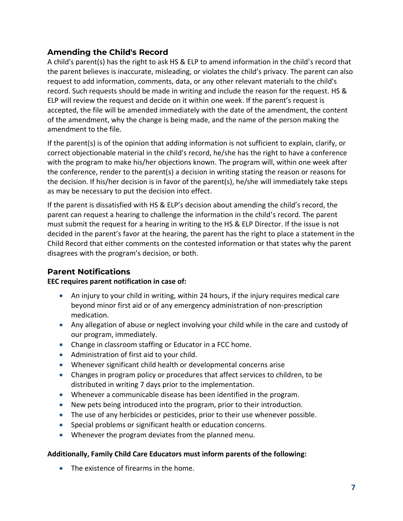# **Amending the Child's Record**

A child's parent(s) has the right to ask HS & ELP to amend information in the child's record that the parent believes is inaccurate, misleading, or violates the child's privacy. The parent can also request to add information, comments, data, or any other relevant materials to the child's record. Such requests should be made in writing and include the reason for the request. HS & ELP will review the request and decide on it within one week. If the parent's request is accepted, the file will be amended immediately with the date of the amendment, the content of the amendment, why the change is being made, and the name of the person making the amendment to the file.

If the parent(s) is of the opinion that adding information is not sufficient to explain, clarify, or correct objectionable material in the child's record, he/she has the right to have a conference with the program to make his/her objections known. The program will, within one week after the conference, render to the parent(s) a decision in writing stating the reason or reasons for the decision. If his/her decision is in favor of the parent(s), he/she will immediately take steps as may be necessary to put the decision into effect.

If the parent is dissatisfied with HS & ELP's decision about amending the child's record, the parent can request a hearing to challenge the information in the child's record. The parent must submit the request for a hearing in writing to the HS & ELP Director. If the issue is not decided in the parent's favor at the hearing, the parent has the right to place a statement in the Child Record that either comments on the contested information or that states why the parent disagrees with the program's decision, or both.

# **Parent Notifications**

### **EEC requires parent notification in case of:**

- An injury to your child in writing, within 24 hours, if the injury requires medical care beyond minor first aid or of any emergency administration of non-prescription medication.
- Any allegation of abuse or neglect involving your child while in the care and custody of our program, immediately.
- Change in classroom staffing or Educator in a FCC home.
- Administration of first aid to your child.
- Whenever significant child health or developmental concerns arise
- Changes in program policy or procedures that affect services to children, to be distributed in writing 7 days prior to the implementation.
- Whenever a communicable disease has been identified in the program.
- New pets being introduced into the program, prior to their introduction.
- The use of any herbicides or pesticides, prior to their use whenever possible.
- Special problems or significant health or education concerns.
- Whenever the program deviates from the planned menu.

### **Additionally, Family Child Care Educators must inform parents of the following:**

• The existence of firearms in the home.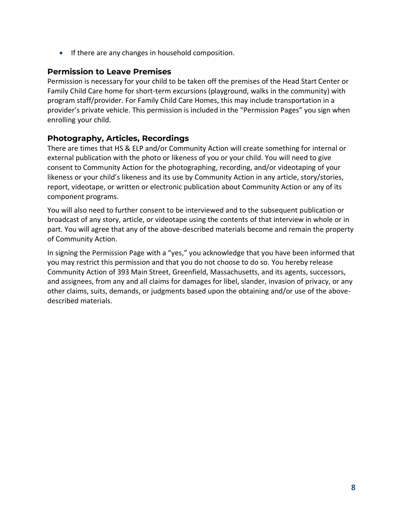• If there are any changes in household composition.

### **Permission to Leave Premises**

Permission is necessary for your child to be taken off the premises of the Head Start Center or Family Child Care home for short-term excursions (playground, walks in the community) with program staff/provider. For Family Child Care Homes, this may include transportation in a provider's private vehicle. This permission is included in the "Permission Pages" you sign when enrolling your child.

# **Photography, Articles, Recordings**

There are times that HS & ELP and/or Community Action will create something for internal or external publication with the photo or likeness of you or your child. You will need to give consent to Community Action for the photographing, recording, and/or videotaping of your likeness or your child's likeness and its use by Community Action in any article, story/stories, report, videotape, or written or electronic publication about Community Action or any of its component programs.

You will also need to further consent to be interviewed and to the subsequent publication or broadcast of any story, article, or videotape using the contents of that interview in whole or in part. You will agree that any of the above-described materials become and remain the property of Community Action.

In signing the Permission Page with a "yes," you acknowledge that you have been informed that you may restrict this permission and that you do not choose to do so. You hereby release Community Action of 393 Main Street, Greenfield, Massachusetts, and its agents, successors, and assignees, from any and all claims for damages for libel, slander, invasion of privacy, or any other claims, suits, demands, or judgments based upon the obtaining and/or use of the abovedescribed materials.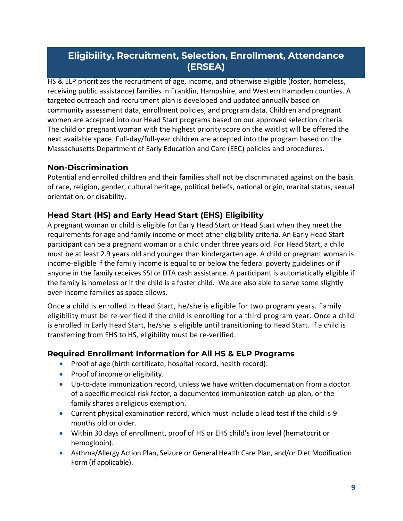# **Eligibility, Recruitment, Selection, Enrollment, Attendance (ERSEA)**

HS & ELP prioritizes the recruitment of age, income, and otherwise eligible (foster, homeless, receiving public assistance) families in Franklin, Hampshire, and Western Hampden counties. A targeted outreach and recruitment plan is developed and updated annually based on community assessment data, enrollment policies, and program data. Children and pregnant women are accepted into our Head Start programs based on our approved selection criteria. The child or pregnant woman with the highest priority score on the waitlist will be offered the next available space. Full-day/full-year children are accepted into the program based on the Massachusetts Department of Early Education and Care (EEC) policies and procedures.

### **Non-Discrimination**

Potential and enrolled children and their families shall not be discriminated against on the basis of race, religion, gender, cultural heritage, political beliefs, national origin, marital status, sexual orientation, or disability.

# **Head Start (HS) and Early Head Start (EHS) Eligibility**

A pregnant woman or child is eligible for Early Head Start or Head Start when they meet the requirements for age and family income or meet other eligibility criteria. An Early Head Start participant can be a pregnant woman or a child under three years old. For Head Start, a child must be at least 2.9 years old and younger than kindergarten age. A child or pregnant woman is income-eligible if the family income is equal to or below the federal poverty guidelines or if anyone in the family receives SSI or DTA cash assistance. A participant is automatically eligible if the family is homeless or if the child is a foster child. We are also able to serve some slightly over-income families as space allows.

Once a child is enrolled in Head Start, he/she is eligible for two program years. Family eligibility must be re-verified if the child is enrolling for a third program year. Once a child is enrolled in Early Head Start, he/she is eligible until transitioning to Head Start. If a child is transferring from EHS to HS, eligibility must be re-verified.

# **Required Enrollment Information for All HS & ELP Programs**

- Proof of age (birth certificate, hospital record, health record).
- Proof of income or eligibility.
- Up-to-date immunization record, unless we have written documentation from a doctor of a specific medical risk factor, a documented immunization catch-up plan, or the family shares a religious exemption.
- Current physical examination record, which must include a lead test if the child is 9 months old or older.
- Within 30 days of enrollment, proof of HS or EHS child's iron level (hematocrit or hemoglobin).
- Asthma/Allergy Action Plan, Seizure or General Health Care Plan, and/or Diet Modification Form (if applicable).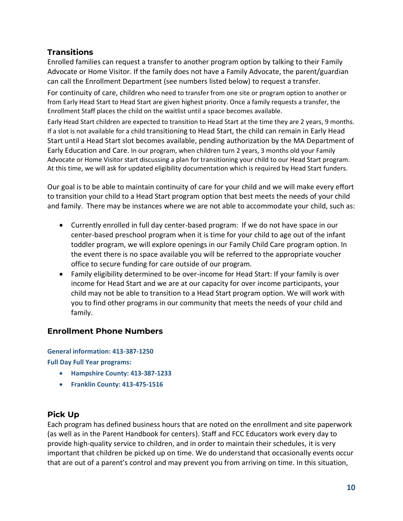# **Transitions**

Enrolled families can request a transfer to another program option by talking to their Family Advocate or Home Visitor. If the family does not have a Family Advocate, the parent/guardian can call the Enrollment Department (see numbers listed below) to request a transfer.

For continuity of care, children who need to transfer from one site or program option to another or from Early Head Start to Head Start are given highest priority. Once a family requests a transfer, the Enrollment Staff places the child on the waitlist until a space becomes available.

Early Head Start children are expected to transition to Head Start at the time they are 2 years, 9 months. If a slot is not available for a child transitioning to Head Start, the child can remain in Early Head Start until a Head Start slot becomes available, pending authorization by the MA Department of Early Education and Care. In our program, when children turn 2 years, 3 months old your Family Advocate or Home Visitor start discussing a plan for transitioning your child to our Head Start program. At this time, we will ask for updated eligibility documentation which is required by Head Start funders.

Our goal is to be able to maintain continuity of care for your child and we will make every effort to transition your child to a Head Start program option that best meets the needs of your child and family. There may be instances where we are not able to accommodate your child, such as:

- Currently enrolled in full day center-based program: If we do not have space in our center-based preschool program when it is time for your child to age out of the infant toddler program, we will explore openings in our Family Child Care program option. In the event there is no space available you will be referred to the appropriate voucher office to secure funding for care outside of our program.
- Family eligibility determined to be over-income for Head Start: If your family is over income for Head Start and we are at our capacity for over income participants, your child may not be able to transition to a Head Start program option. We will work with you to find other programs in our community that meets the needs of your child and family.

# **Enrollment Phone Numbers**

**General information: 413-387-1250**

**Full Day Full Year programs:**

- **Hampshire County: 413-387-1233**
- **Franklin County: 413-475-1516**

# **Pick Up**

Each program has defined business hours that are noted on the enrollment and site paperwork (as well as in the Parent Handbook for centers). Staff and FCC Educators work every day to provide high-quality service to children, and in order to maintain their schedules, it is very important that children be picked up on time. We do understand that occasionally events occur that are out of a parent's control and may prevent you from arriving on time. In this situation,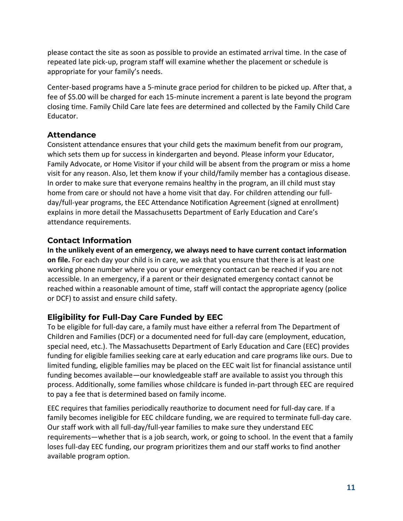please contact the site as soon as possible to provide an estimated arrival time. In the case of repeated late pick-up, program staff will examine whether the placement or schedule is appropriate for your family's needs.

Center-based programs have a 5-minute grace period for children to be picked up. After that, a fee of \$5.00 will be charged for each 15-minute increment a parent is late beyond the program closing time. Family Child Care late fees are determined and collected by the Family Child Care Educator.

# **Attendance**

Consistent attendance ensures that your child gets the maximum benefit from our program, which sets them up for success in kindergarten and beyond. Please inform your Educator, Family Advocate, or Home Visitor if your child will be absent from the program or miss a home visit for any reason. Also, let them know if your child/family member has a contagious disease. In order to make sure that everyone remains healthy in the program, an ill child must stay home from care or should not have a home visit that day. For children attending our fullday/full-year programs, th[e EEC Attendance Notification Agreement](https://static.wixstatic.com/ugd/206ce8_473b4a6b84944437943ffdfedae2720d.pdf) (signed at enrollment) explains in more detail the Massachusetts Department of Early Education and Care's attendance requirements.

# **Contact Information**

**In the unlikely event of an emergency, we always need to have current contact information on file.** For each day your child is in care, we ask that you ensure that there is at least one working phone number where you or your emergency contact can be reached if you are not accessible. In an emergency, if a parent or their designated emergency contact cannot be reached within a reasonable amount of time, staff will contact the appropriate agency (police or DCF) to assist and ensure child safety.

# **Eligibility for Full-Day Care Funded by EEC**

To be eligible for full-day care, a family must have either a referral from The Department of Children and Families (DCF) or a documented need for full-day care (employment, education, special need, etc.). The Massachusetts Department of Early Education and Care (EEC) provides funding for eligible families seeking care at early education and care programs like ours. Due to limited funding, eligible families may be placed on the EEC wait list for financial assistance until funding becomes available—our knowledgeable staff are available to assist you through this process. Additionally, some families whose childcare is funded in-part through EEC are required to pay a fee that is determined based on family income.

EEC requires that families periodically reauthorize to document need for full-day care. If a family becomes ineligible for EEC childcare funding, we are required to terminate full-day care. Our staff work with all full-day/full-year families to make sure they understand EEC requirements—whether that is a job search, work, or going to school. In the event that a family loses full-day EEC funding, our program prioritizes them and our staff works to find another available program option.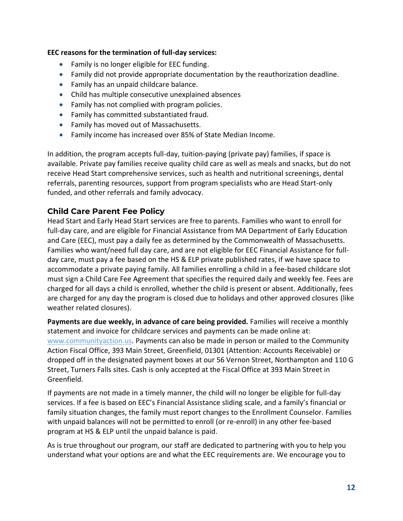### **EEC reasons for the termination of full-day services:**

- Family is no longer eligible for EEC funding.
- Family did not provide appropriate documentation by the reauthorization deadline.
- Family has an unpaid childcare balance.
- Child has multiple consecutive unexplained absences
- Family has not complied with program policies.
- Family has committed substantiated fraud.
- Family has moved out of Massachusetts.
- Family income has increased over 85% of State Median Income.

In addition, the program accepts full-day, tuition-paying (private pay) families, if space is available. Private pay families receive quality child care as well as meals and snacks, but do not receive Head Start comprehensive services, such as health and nutritional screenings, dental referrals, parenting resources, support from program specialists who are Head Start-only funded, and other referrals and family advocacy.

# **Child Care Parent Fee Policy**

Head Start and Early Head Start services are free to parents. Families who want to enroll for full-day care, and are eligible for Financial Assistance from MA Department of Early Education and Care (EEC), must pay a daily fee as determined by the Commonwealth of Massachusetts. Families who want/need full day care, and are not eligible for EEC Financial Assistance for fullday care, must pay a fee based on the HS & ELP private published rates, if we have space to accommodate a private paying family. All families enrolling a child in a fee-based childcare slot must sign a Child Care Fee Agreement that specifies the required daily and weekly fee. Fees are charged for all days a child is enrolled, whether the child is present or absent. Additionally, fees are charged for any day the program is closed due to holidays and other approved closures (like weather related closures).

Payments are due weekly, in advance of care being provided. Families will receive a monthly statement and invoice for childcare services and payments can be made online at: [www.communityaction.us.](http://www.communityaction.us/) Payments can also be made in person or mailed to the Community Action Fiscal Office, 393 Main Street, Greenfield, 01301 (Attention: Accounts Receivable) or dropped off in the designated payment boxes at our 56 Vernon Street, Northampton and 110 G Street, Turners Falls sites. Cash is only accepted at the Fiscal Office at 393 Main Street in Greenfield.

If payments are not made in a timely manner, the child will no longer be eligible for full-day services. If a fee is based on EEC's Financial Assistance sliding scale, and a family's financial or family situation changes, the family must report changes to the Enrollment Counselor. Families with unpaid balances will not be permitted to enroll (or re-enroll) in any other fee-based program at HS & ELP until the unpaid balance is paid.

As is true throughout our program, our staff are dedicated to partnering with you to help you understand what your options are and what the EEC requirements are. We encourage you to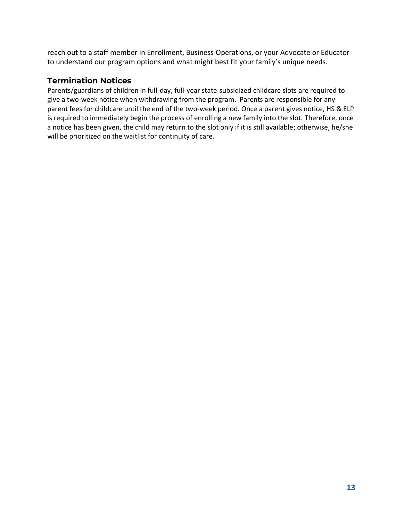reach out to a staff member in Enrollment, Business Operations, or your Advocate or Educator to understand our program options and what might best fit your family's unique needs.

# **Termination Notices**

Parents/guardians of children in full-day, full-year state-subsidized childcare slots are required to give a two-week notice when withdrawing from the program. Parents are responsible for any parent fees for childcare until the end of the two-week period. Once a parent gives notice, HS & ELP is required to immediately begin the process of enrolling a new family into the slot. Therefore, once a notice has been given, the child may return to the slot only if it is still available; otherwise, he/she will be prioritized on the waitlist for continuity of care.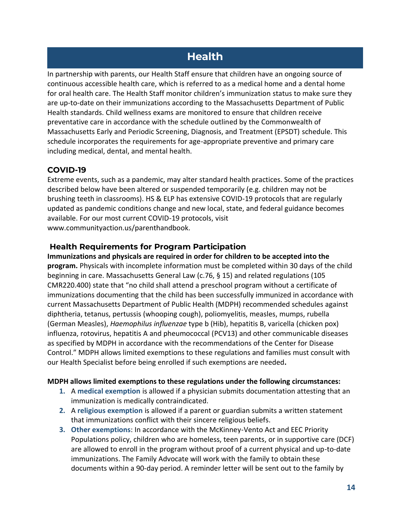# **Health**

In partnership with parents, our Health Staff ensure that children have an ongoing source of continuous accessible health care, which is referred to as a medical home and a dental home for oral health care. The Health Staff monitor children's immunization status to make sure they are up-to-date on their immunizations according to the Massachusetts Department of Public Health standards. Child wellness exams are monitored to ensure that children receive preventative care in accordance with the schedule outlined by the Commonwealth of Massachusetts Early and Periodic Screening, Diagnosis, and Treatment (EPSDT) schedule. This schedule incorporates the requirements for age-appropriate preventive and primary care including medical, dental, and mental health.

# **COVID-19**

Extreme events, such as a pandemic, may alter standard health practices. Some of the practices described below have been altered or suspended temporarily (e.g. children may not be brushing teeth in classrooms). HS & ELP has extensive COVID-19 protocols that are regularly updated as pandemic conditions change and new local, state, and federal guidance becomes available. For our most current COVID-19 protocols, visit www.communityaction.us/parenthandbook.

# **Health Requirements for Program Participation**

**Immunizations and physicals are required in order for children to be accepted into the program.** Physicals with incomplete information must be completed within 30 days of the child beginning in care. Massachusetts General Law (c.76, § 15) and related regulations (105 CMR220.400) state that "no child shall attend a preschool program without a certificate of immunizations documenting that the child has been successfully immunized in accordance with current Massachusetts Department of Public Health (MDPH) recommended schedules against diphtheria, tetanus, pertussis (whooping cough), poliomyelitis, measles, mumps, rubella (German Measles), *Haemophilus influenzae* type b (Hib), hepatitis B, varicella (chicken pox) influenza, rotovirus, hepatitis A and pheumococcal (PCV13) and other communicable diseases as specified by MDPH in accordance with the recommendations of the Center for Disease Control." MDPH allows limited exemptions to these regulations and families must consult with our Health Specialist before being enrolled if such exemptions are needed**.** 

### **MDPH allows limited exemptions to these regulations under the following circumstances:**

- **1.** A **medical exemption** is allowed if a physician submits documentation attesting that an immunization is medically contraindicated.
- **2.** A **religious exemption** is allowed if a parent or guardian submits a written statement that immunizations conflict with their sincere religious beliefs.
- **3. Other exemptions**: In accordance with the McKinney-Vento Act and EEC Priority Populations policy, children who are homeless, teen parents, or in supportive care (DCF) are allowed to enroll in the program without proof of a current physical and up-to-date immunizations. The Family Advocate will work with the family to obtain these documents within a 90-day period. A reminder letter will be sent out to the family by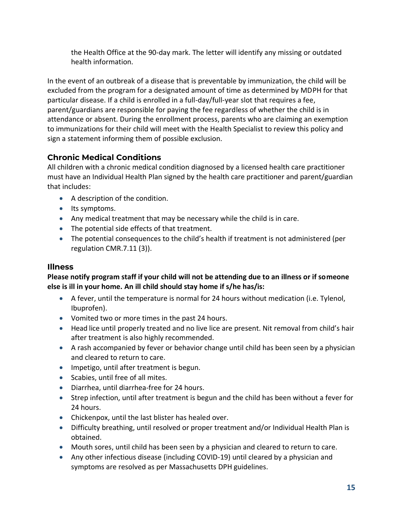the Health Office at the 90-day mark. The letter will identify any missing or outdated health information.

In the event of an outbreak of a disease that is preventable by immunization, the child will be excluded from the program for a designated amount of time as determined by MDPH for that particular disease. If a child is enrolled in a full-day/full-year slot that requires a fee, parent/guardians are responsible for paying the fee regardless of whether the child is in attendance or absent. During the enrollment process, parents who are claiming an exemption to immunizations for their child will meet with the Health Specialist to review this policy and sign a statement informing them of possible exclusion.

# **Chronic Medical Conditions**

All children with a chronic medical condition diagnosed by a licensed health care practitioner must have an Individual Health Plan signed by the health care practitioner and parent/guardian that includes:

- A description of the condition.
- Its symptoms.
- Any medical treatment that may be necessary while the child is in care.
- The potential side effects of that treatment.
- The potential consequences to the child's health if treatment is not administered (per regulation CMR.7.11 (3)).

# **Illness**

# **Please notify program staff if your child will not be attending due to an illness or if someone else is ill in your home. An ill child should stay home if s/he has/is:**

- A fever, until the temperature is normal for 24 hours without medication (i.e. Tylenol, Ibuprofen).
- Vomited two or more times in the past 24 hours.
- Head lice until properly treated and no live lice are present. Nit removal from child's hair after treatment is also highly recommended.
- A rash accompanied by fever or behavior change until child has been seen by a physician and cleared to return to care.
- Impetigo, until after treatment is begun.
- Scabies, until free of all mites.
- Diarrhea, until diarrhea-free for 24 hours.
- Strep infection, until after treatment is begun and the child has been without a fever for 24 hours.
- Chickenpox, until the last blister has healed over.
- Difficulty breathing, until resolved or proper treatment and/or Individual Health Plan is obtained.
- Mouth sores, until child has been seen by a physician and cleared to return to care.
- Any other infectious disease (including COVID-19) until cleared by a physician and symptoms are resolved as per Massachusetts DPH guidelines.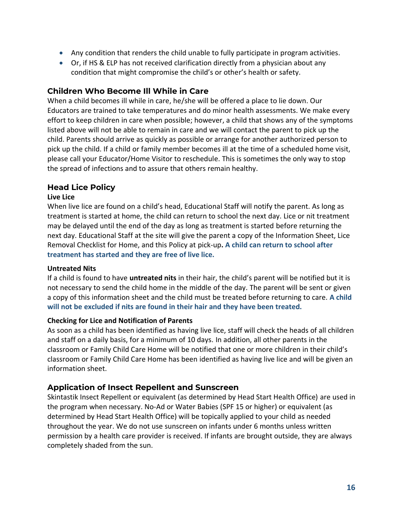- Any condition that renders the child unable to fully participate in program activities.
- Or, if HS & ELP has not received clarification directly from a physician about any condition that might compromise the child's or other's health or safety.

### **Children Who Become Ill While in Care**

When a child becomes ill while in care, he/she will be offered a place to lie down. Our Educators are trained to take temperatures and do minor health assessments. We make every effort to keep children in care when possible; however, a child that shows any of the symptoms listed above will not be able to remain in care and we will contact the parent to pick up the child. Parents should arrive as quickly as possible or arrange for another authorized person to pick up the child. If a child or family member becomes ill at the time of a scheduled home visit, please call your Educator/Home Visitor to reschedule. This is sometimes the only way to stop the spread of infections and to assure that others remain healthy.

### **Head Lice Policy**

#### **Live Lice**

When live lice are found on a child's head, Educational Staff will notify the parent. As long as treatment is started at home, the child can return to school the next day. Lice or nit treatment may be delayed until the end of the day as long as treatment is started before returning the next day. Educational Staff at the site will give the parent a copy of the Information Sheet, Lice Removal Checklist for Home, and this Policy at pick-up**. A child can return to school after treatment has started and they are free of live lice.**

#### **Untreated Nits**

If a child is found to have **untreated nits** in their hair, the child's parent will be notified but it is not necessary to send the child home in the middle of the day. The parent will be sent or given a copy of this information sheet and the child must be treated before returning to care. **A child will not be excluded if nits are found in their hair and they have been treated.**

#### **Checking for Lice and Notification of Parents**

As soon as a child has been identified as having live lice, staff will check the heads of all children and staff on a daily basis, for a minimum of 10 days. In addition, all other parents in the classroom or Family Child Care Home will be notified that one or more children in their child's classroom or Family Child Care Home has been identified as having live lice and will be given an information sheet.

### **Application of Insect Repellent and Sunscreen**

Skintastik Insect Repellent or equivalent (as determined by Head Start Health Office) are used in the program when necessary. No-Ad or Water Babies (SPF 15 or higher) or equivalent (as determined by Head Start Health Office) will be topically applied to your child as needed throughout the year. We do not use sunscreen on infants under 6 months unless written permission by a health care provider is received. If infants are brought outside, they are always completely shaded from the sun.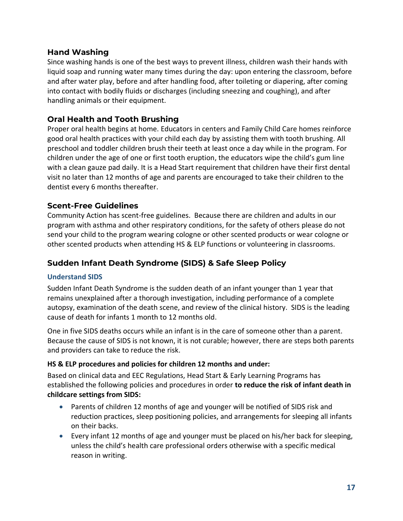### **Hand Washing**

Since washing hands is one of the best ways to prevent illness, children wash their hands with liquid soap and running water many times during the day: upon entering the classroom, before and after water play, before and after handling food, after toileting or diapering, after coming into contact with bodily fluids or discharges (including sneezing and coughing), and after handling animals or their equipment.

# **Oral Health and Tooth Brushing**

Proper oral health begins at home. Educators in centers and Family Child Care homes reinforce good oral health practices with your child each day by assisting them with tooth brushing. All preschool and toddler children brush their teeth at least once a day while in the program. For children under the age of one or first tooth eruption, the educators wipe the child's gum line with a clean gauze pad daily. It is a Head Start requirement that children have their first dental visit no later than 12 months of age and parents are encouraged to take their children to the dentist every 6 months thereafter.

# **Scent-Free Guidelines**

Community Action has scent-free guidelines. Because there are children and adults in our program with asthma and other respiratory conditions, for the safety of others please do not send your child to the program wearing cologne or other scented products or wear cologne or other scented products when attending HS & ELP functions or volunteering in classrooms.

# **Sudden Infant Death Syndrome (SIDS) & Safe Sleep Policy**

### **Understand SIDS**

Sudden Infant Death Syndrome is the sudden death of an infant younger than 1 year that remains unexplained after a thorough investigation, including performance of a complete autopsy, examination of the death scene, and review of the clinical history. SIDS is the leading cause of death for infants 1 month to 12 months old.

One in five SIDS deaths occurs while an infant is in the care of someone other than a parent. Because the cause of SIDS is not known, it is not curable; however, there are steps both parents and providers can take to reduce the risk.

### **HS & ELP procedures and policies for children 12 months and under:**

Based on clinical data and EEC Regulations, Head Start & Early Learning Programs has established the following policies and procedures in order **to reduce the risk of infant death in childcare settings from SIDS:**

- Parents of children 12 months of age and younger will be notified of SIDS risk and reduction practices, sleep positioning policies, and arrangements for sleeping all infants on their backs.
- Every infant 12 months of age and younger must be placed on his/her back for sleeping, unless the child's health care professional orders otherwise with a specific medical reason in writing.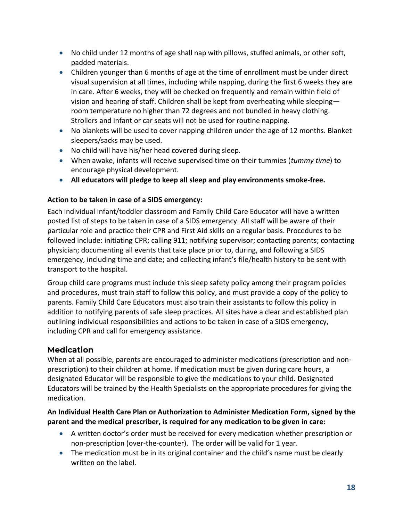- No child under 12 months of age shall nap with pillows, stuffed animals, or other soft, padded materials.
- Children younger than 6 months of age at the time of enrollment must be under direct visual supervision at all times, including while napping, during the first 6 weeks they are in care. After 6 weeks, they will be checked on frequently and remain within field of vision and hearing of staff. Children shall be kept from overheating while sleeping room temperature no higher than 72 degrees and not bundled in heavy clothing. Strollers and infant or car seats will not be used for routine napping.
- No blankets will be used to cover napping children under the age of 12 months. Blanket sleepers/sacks may be used.
- No child will have his/her head covered during sleep.
- When awake, infants will receive supervised time on their tummies (*tummy time*) to encourage physical development.
- **All educators will pledge to keep all sleep and play environments smoke-free.**

### **Action to be taken in case of a SIDS emergency:**

Each individual infant/toddler classroom and Family Child Care Educator will have a written posted list of steps to be taken in case of a SIDS emergency. All staff will be aware of their particular role and practice their CPR and First Aid skills on a regular basis. Procedures to be followed include: initiating CPR; calling 911; notifying supervisor; contacting parents; contacting physician; documenting all events that take place prior to, during, and following a SIDS emergency, including time and date; and collecting infant's file/health history to be sent with transport to the hospital.

Group child care programs must include this sleep safety policy among their program policies and procedures, must train staff to follow this policy, and must provide a copy of the policy to parents. Family Child Care Educators must also train their assistants to follow this policy in addition to notifying parents of safe sleep practices. All sites have a clear and established plan outlining individual responsibilities and actions to be taken in case of a SIDS emergency, including CPR and call for emergency assistance.

# **Medication**

When at all possible, parents are encouraged to administer medications (prescription and nonprescription) to their children at home. If medication must be given during care hours, a designated Educator will be responsible to give the medications to your child. Designated Educators will be trained by the Health Specialists on the appropriate procedures for giving the medication.

### **An Individual Health Care Plan or Authorization to Administer Medication Form, signed by the parent and the medical prescriber, is required for any medication to be given in care:**

- A written doctor's order must be received for every medication whether prescription or non-prescription (over-the-counter). The order will be valid for 1 year.
- The medication must be in its original container and the child's name must be clearly written on the label.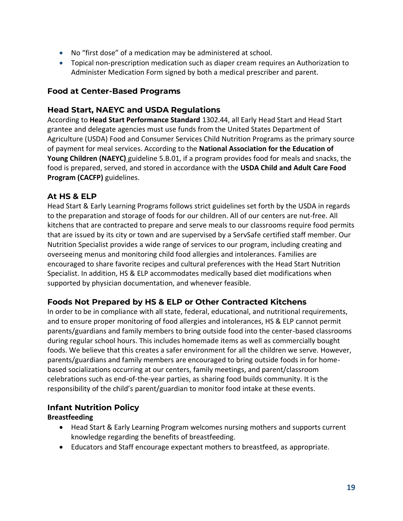- No "first dose" of a medication may be administered at school.
- Topical non-prescription medication such as diaper cream requires an Authorization to Administer Medication Form signed by both a medical prescriber and parent.

# **Food at Center-Based Programs**

# **Head Start, NAEYC and USDA Regulations**

According to **Head Start Performance Standard** 1302.44, all Early Head Start and Head Start grantee and delegate agencies must use funds from the United States Department of Agriculture (USDA) Food and Consumer Services Child Nutrition Programs as the primary source of payment for meal services. According to the **National Association for the Education of Young Children (NAEYC)** guideline 5.B.01, if a program provides food for meals and snacks, the food is prepared, served, and stored in accordance with the **USDA Child and Adult Care Food Program (CACFP)** guidelines.

# **At HS & ELP**

Head Start & Early Learning Programs follows strict guidelines set forth by the USDA in regards to the preparation and storage of foods for our children. All of our centers are nut-free. All kitchens that are contracted to prepare and serve meals to our classrooms require food permits that are issued by its city or town and are supervised by a ServSafe certified staff member. Our Nutrition Specialist provides a wide range of services to our program, including creating and overseeing menus and monitoring child food allergies and intolerances. Families are encouraged to share favorite recipes and cultural preferences with the Head Start Nutrition Specialist. In addition, HS & ELP accommodates medically based diet modifications when supported by physician documentation, and whenever feasible.

# **Foods Not Prepared by HS & ELP or Other Contracted Kitchens**

In order to be in compliance with all state, federal, educational, and nutritional requirements, and to ensure proper monitoring of food allergies and intolerances, HS & ELP cannot permit parents/guardians and family members to bring outside food into the center-based classrooms during regular school hours. This includes homemade items as well as commercially bought foods. We believe that this creates a safer environment for all the children we serve. However, parents/guardians and family members are encouraged to bring outside foods in for homebased socializations occurring at our centers, family meetings, and parent/classroom celebrations such as end-of-the-year parties, as sharing food builds community. It is the responsibility of the child's parent/guardian to monitor food intake at these events.

# **Infant Nutrition Policy**

# **Breastfeeding**

- Head Start & Early Learning Program welcomes nursing mothers and supports current knowledge regarding the benefits of breastfeeding.
- Educators and Staff encourage expectant mothers to breastfeed, as appropriate.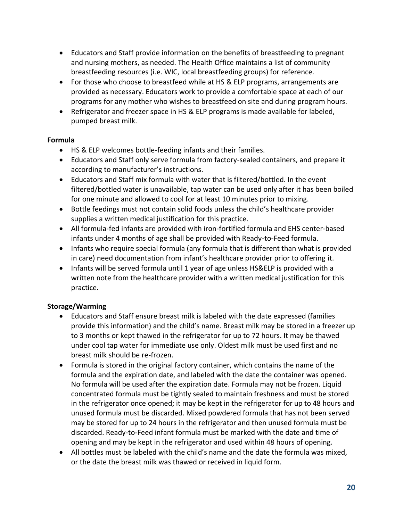- Educators and Staff provide information on the benefits of breastfeeding to pregnant and nursing mothers, as needed. The Health Office maintains a list of community breastfeeding resources (i.e. WIC, local breastfeeding groups) for reference.
- For those who choose to breastfeed while at HS & ELP programs, arrangements are provided as necessary. Educators work to provide a comfortable space at each of our programs for any mother who wishes to breastfeed on site and during program hours.
- Refrigerator and freezer space in HS & ELP programs is made available for labeled, pumped breast milk.

### **Formula**

- HS & ELP welcomes bottle-feeding infants and their families.
- Educators and Staff only serve formula from factory-sealed containers, and prepare it according to manufacturer's instructions.
- Educators and Staff mix formula with water that is filtered/bottled. In the event filtered/bottled water is unavailable, tap water can be used only after it has been boiled for one minute and allowed to cool for at least 10 minutes prior to mixing.
- Bottle feedings must not contain solid foods unless the child's healthcare provider supplies a written medical justification for this practice.
- All formula-fed infants are provided with iron-fortified formula and EHS center-based infants under 4 months of age shall be provided with Ready-to-Feed formula.
- Infants who require special formula (any formula that is different than what is provided in care) need documentation from infant's healthcare provider prior to offering it.
- Infants will be served formula until 1 year of age unless HS&ELP is provided with a written note from the healthcare provider with a written medical justification for this practice.

# **Storage/Warming**

- Educators and Staff ensure breast milk is labeled with the date expressed (families provide this information) and the child's name. Breast milk may be stored in a freezer up to 3 months or kept thawed in the refrigerator for up to 72 hours. It may be thawed under cool tap water for immediate use only. Oldest milk must be used first and no breast milk should be re-frozen.
- Formula is stored in the original factory container, which contains the name of the formula and the expiration date, and labeled with the date the container was opened. No formula will be used after the expiration date. Formula may not be frozen. Liquid concentrated formula must be tightly sealed to maintain freshness and must be stored in the refrigerator once opened; it may be kept in the refrigerator for up to 48 hours and unused formula must be discarded. Mixed powdered formula that has not been served may be stored for up to 24 hours in the refrigerator and then unused formula must be discarded. Ready-to-Feed infant formula must be marked with the date and time of opening and may be kept in the refrigerator and used within 48 hours of opening.
- All bottles must be labeled with the child's name and the date the formula was mixed, or the date the breast milk was thawed or received in liquid form.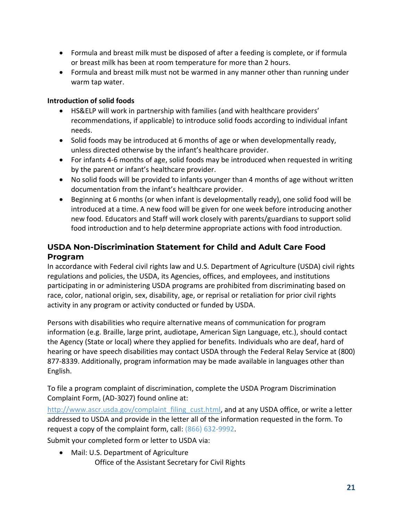- Formula and breast milk must be disposed of after a feeding is complete, or if formula or breast milk has been at room temperature for more than 2 hours.
- Formula and breast milk must not be warmed in any manner other than running under warm tap water.

### **Introduction of solid foods**

- HS&ELP will work in partnership with families (and with healthcare providers' recommendations, if applicable) to introduce solid foods according to individual infant needs.
- Solid foods may be introduced at 6 months of age or when developmentally ready, unless directed otherwise by the infant's healthcare provider.
- For infants 4-6 months of age, solid foods may be introduced when requested in writing by the parent or infant's healthcare provider.
- No solid foods will be provided to infants younger than 4 months of age without written documentation from the infant's healthcare provider.
- Beginning at 6 months (or when infant is developmentally ready), one solid food will be introduced at a time. A new food will be given for one week before introducing another new food. Educators and Staff will work closely with parents/guardians to support solid food introduction and to help determine appropriate actions with food introduction.

# **USDA Non-Discrimination Statement for Child and Adult Care Food Program**

In accordance with Federal civil rights law and U.S. Department of Agriculture (USDA) civil rights regulations and policies, the USDA, its Agencies, offices, and employees, and institutions participating in or administering USDA programs are prohibited from discriminating based on race, color, national origin, sex, disability, age, or reprisal or retaliation for prior civil rights activity in any program or activity conducted or funded by USDA.

Persons with disabilities who require alternative means of communication for program information (e.g. Braille, large print, audiotape, American Sign Language, etc.), should contact the Agency (State or local) where they applied for benefits. Individuals who are deaf, hard of hearing or have speech disabilities may contact USDA through the Federal Relay Service at (800) 877-8339. Additionally, program information may be made available in languages other than English.

To file a program complaint of discrimination, complete the USDA Program Discrimination Complaint Form, (AD-3027) found online at:

[http://www.ascr.usda.gov/complaint\\_filing\\_cust.html,](http://www.ascr.usda.gov/complaint_filing_cust.html) and at any USDA office, or write a letter addressed to USDA and provide in the letter all of the information requested in the form. To request a copy of the complaint form, call: (866) 632-9992.

Submit your completed form or letter to USDA via:

• Mail: U.S. Department of Agriculture Office of the Assistant Secretary for Civil Rights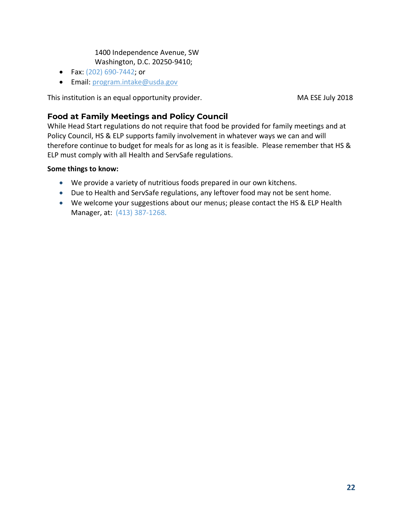### 1400 Independence Avenue, SW Washington, D.C. 20250-9410;

- Fax: (202) 690-7442; or
- Email: [program.intake@usda.gov](mailto:program.intake@usda.gov)

This institution is an equal opportunity provider. This institution is an equal opportunity provider.

# **Food at Family Meetings and Policy Council**

While Head Start regulations do not require that food be provided for family meetings and at Policy Council, HS & ELP supports family involvement in whatever ways we can and will therefore continue to budget for meals for as long as it is feasible. Please remember that HS & ELP must comply with all Health and ServSafe regulations.

### **Some things to know:**

- We provide a variety of nutritious foods prepared in our own kitchens.
- Due to Health and ServSafe regulations, any leftover food may not be sent home.
- We welcome your suggestions about our menus; please contact the HS & ELP Health Manager, at: (413) 387-1268.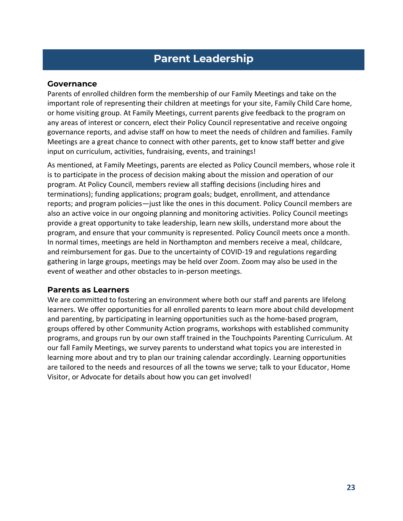# **Parent Leadership**

### **Governance**

Parents of enrolled children form the membership of our Family Meetings and take on the important role of representing their children at meetings for your site, Family Child Care home, or home visiting group. At Family Meetings, current parents give feedback to the program on any areas of interest or concern, elect their Policy Council representative and receive ongoing governance reports, and advise staff on how to meet the needs of children and families. Family Meetings are a great chance to connect with other parents, get to know staff better and give input on curriculum, activities, fundraising, events, and trainings!

As mentioned, at Family Meetings, parents are elected as Policy Council members, whose role it is to participate in the process of decision making about the mission and operation of our program. At Policy Council, members review all staffing decisions (including hires and terminations); funding applications; program goals; budget, enrollment, and attendance reports; and program policies—just like the ones in this document. Policy Council members are also an active voice in our ongoing planning and monitoring activities. Policy Council meetings provide a great opportunity to take leadership, learn new skills, understand more about the program, and ensure that your community is represented. Policy Council meets once a month. In normal times, meetings are held in Northampton and members receive a meal, childcare, and reimbursement for gas. Due to the uncertainty of COVID-19 and regulations regarding gathering in large groups, meetings may be held over Zoom. Zoom may also be used in the event of weather and other obstacles to in-person meetings.

### **Parents as Learners**

We are committed to fostering an environment where both our staff and parents are lifelong learners. We offer opportunities for all enrolled parents to learn more about child development and parenting, by participating in learning opportunities such as the home-based program, groups offered by other Community Action programs, workshops with established community programs, and groups run by our own staff trained in the Touchpoints Parenting Curriculum. At our fall Family Meetings, we survey parents to understand what topics you are interested in learning more about and try to plan our training calendar accordingly. Learning opportunities are tailored to the needs and resources of all the towns we serve; talk to your Educator, Home Visitor, or Advocate for details about how you can get involved!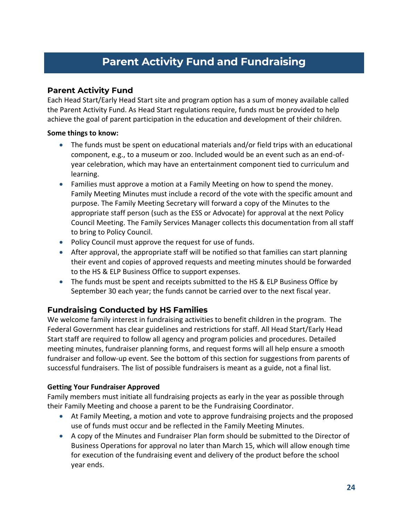# **Parent Activity Fund and Fundraising**

# **Parent Activity Fund**

Each Head Start/Early Head Start site and program option has a sum of money available called the Parent Activity Fund. As Head Start regulations require, funds must be provided to help achieve the goal of parent participation in the education and development of their children.

### **Some things to know:**

- The funds must be spent on educational materials and/or field trips with an educational component, e.g., to a museum or zoo. Included would be an event such as an end-ofyear celebration, which may have an entertainment component tied to curriculum and learning.
- Families must approve a motion at a Family Meeting on how to spend the money. Family Meeting Minutes must include a record of the vote with the specific amount and purpose. The Family Meeting Secretary will forward a copy of the Minutes to the appropriate staff person (such as the ESS or Advocate) for approval at the next Policy Council Meeting. The Family Services Manager collects this documentation from all staff to bring to Policy Council.
- Policy Council must approve the request for use of funds.
- After approval, the appropriate staff will be notified so that families can start planning their event and copies of approved requests and meeting minutes should be forwarded to the HS & ELP Business Office to support expenses.
- The funds must be spent and receipts submitted to the HS & ELP Business Office by September 30 each year; the funds cannot be carried over to the next fiscal year.

# **Fundraising Conducted by HS Families**

We welcome family interest in fundraising activities to benefit children in the program. The Federal Government has clear guidelines and restrictions for staff. All Head Start/Early Head Start staff are required to follow all agency and program policies and procedures. Detailed meeting minutes, fundraiser planning forms, and request forms will all help ensure a smooth fundraiser and follow-up event. See the bottom of this section for suggestions from parents of successful fundraisers. The list of possible fundraisers is meant as a guide, not a final list.

### **Getting Your Fundraiser Approved**

Family members must initiate all fundraising projects as early in the year as possible through their Family Meeting and choose a parent to be the Fundraising Coordinator.

- At Family Meeting, a motion and vote to approve fundraising projects and the proposed use of funds must occur and be reflected in the Family Meeting Minutes.
- A copy of the Minutes and Fundraiser Plan form should be submitted to the Director of Business Operations for approval no later than March 15, which will allow enough time for execution of the fundraising event and delivery of the product before the school year ends.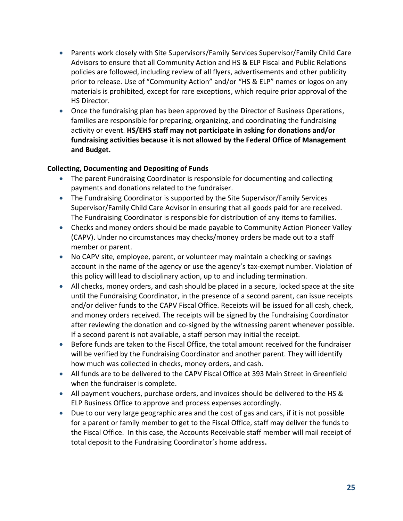- Parents work closely with Site Supervisors/Family Services Supervisor/Family Child Care Advisors to ensure that all Community Action and HS & ELP Fiscal and Public Relations policies are followed, including review of all flyers, advertisements and other publicity prior to release. Use of "Community Action" and/or "HS & ELP" names or logos on any materials is prohibited, except for rare exceptions, which require prior approval of the HS Director.
- Once the fundraising plan has been approved by the Director of Business Operations, families are responsible for preparing, organizing, and coordinating the fundraising activity or event. **HS/EHS staff may not participate in asking for donations and/or fundraising activities because it is not allowed by the Federal Office of Management and Budget.**

### **Collecting, Documenting and Depositing of Funds**

- The parent Fundraising Coordinator is responsible for documenting and collecting payments and donations related to the fundraiser.
- The Fundraising Coordinator is supported by the Site Supervisor/Family Services Supervisor/Family Child Care Advisor in ensuring that all goods paid for are received. The Fundraising Coordinator is responsible for distribution of any items to families.
- Checks and money orders should be made payable to Community Action Pioneer Valley (CAPV). Under no circumstances may checks/money orders be made out to a staff member or parent.
- No CAPV site, employee, parent, or volunteer may maintain a checking or savings account in the name of the agency or use the agency's tax-exempt number. Violation of this policy will lead to disciplinary action, up to and including termination.
- All checks, money orders, and cash should be placed in a secure, locked space at the site until the Fundraising Coordinator, in the presence of a second parent, can issue receipts and/or deliver funds to the CAPV Fiscal Office. Receipts will be issued for all cash, check, and money orders received. The receipts will be signed by the Fundraising Coordinator after reviewing the donation and co-signed by the witnessing parent whenever possible. If a second parent is not available, a staff person may initial the receipt.
- Before funds are taken to the Fiscal Office, the total amount received for the fundraiser will be verified by the Fundraising Coordinator and another parent. They will identify how much was collected in checks, money orders, and cash.
- All funds are to be delivered to the CAPV Fiscal Office at 393 Main Street in Greenfield when the fundraiser is complete.
- All payment vouchers, purchase orders, and invoices should be delivered to the HS & ELP Business Office to approve and process expenses accordingly.
- Due to our very large geographic area and the cost of gas and cars, if it is not possible for a parent or family member to get to the Fiscal Office, staff may deliver the funds to the Fiscal Office. In this case, the Accounts Receivable staff member will mail receipt of total deposit to the Fundraising Coordinator's home address**.**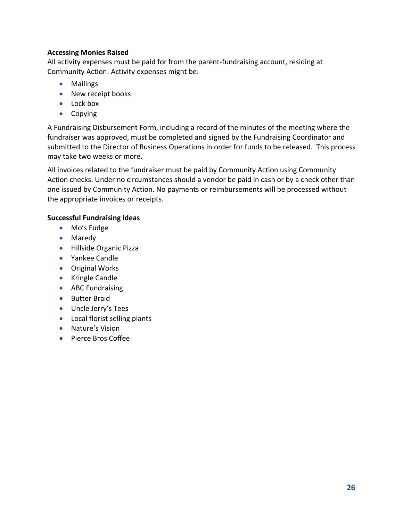### **Accessing Monies Raised**

All activity expenses must be paid for from the parent-fundraising account, residing at Community Action. Activity expenses might be:

- Mailings
- New receipt books
- Lock box
- Copying

A Fundraising Disbursement Form, including a record of the minutes of the meeting where the fundraiser was approved, must be completed and signed by the Fundraising Coordinator and submitted to the Director of Business Operations in order for funds to be released. This process may take two weeks or more.

All invoices related to the fundraiser must be paid by Community Action using Community Action checks. Under no circumstances should a vendor be paid in cash or by a check other than one issued by Community Action. No payments or reimbursements will be processed without the appropriate invoices or receipts.

### **Successful Fundraising Ideas**

- Mo's Fudge
- Maredy
- Hillside Organic Pizza
- Yankee Candle
- Original Works
- Kringle Candle
- ABC Fundraising
- Butter Braid
- Uncle Jerry's Tees
- Local florist selling plants
- Nature's Vision
- Pierce Bros Coffee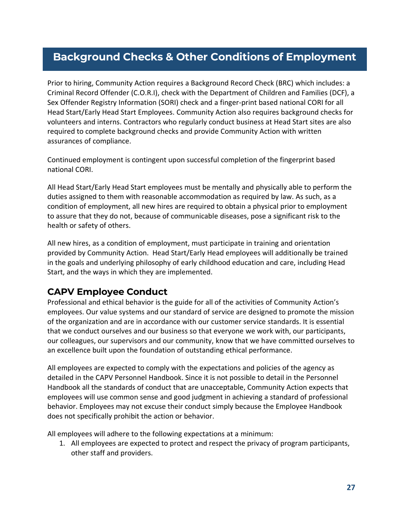# **Background Checks & Other Conditions of Employment**

Prior to hiring, Community Action requires a Background Record Check (BRC) which includes: a Criminal Record Offender (C.O.R.I), check with the Department of Children and Families (DCF), a Sex Offender Registry Information (SORI) check and a finger-print based national CORI for all Head Start/Early Head Start Employees. Community Action also requires background checks for volunteers and interns. Contractors who regularly conduct business at Head Start sites are also required to complete background checks and provide Community Action with written assurances of compliance.

Continued employment is contingent upon successful completion of the fingerprint based national CORI.

All Head Start/Early Head Start employees must be mentally and physically able to perform the duties assigned to them with reasonable accommodation as required by law. As such, as a condition of employment, all new hires are required to obtain a physical prior to employment to assure that they do not, because of communicable diseases, pose a significant risk to the health or safety of others.

All new hires, as a condition of employment, must participate in training and orientation provided by Community Action. Head Start/Early Head employees will additionally be trained in the goals and underlying philosophy of early childhood education and care, including Head Start, and the ways in which they are implemented.

# <span id="page-25-0"></span>**CAPV Employee Conduct**

Professional and ethical behavior is the guide for all of the activities of Community Action's employees. Our value systems and our standard of service are designed to promote the mission of the organization and are in accordance with our customer service standards. It is essential that we conduct ourselves and our business so that everyone we work with, our participants, our colleagues, our supervisors and our community, know that we have committed ourselves to an excellence built upon the foundation of outstanding ethical performance.

All employees are expected to comply with the expectations and policies of the agency as detailed in the CAPV Personnel Handbook. Since it is not possible to detail in the Personnel Handbook all the standards of conduct that are unacceptable, Community Action expects that employees will use common sense and good judgment in achieving a standard of professional behavior. Employees may not excuse their conduct simply because the Employee Handbook does not specifically prohibit the action or behavior.

All employees will adhere to the following expectations at a minimum:

1. All employees are expected to protect and respect the privacy of program participants, other staff and providers.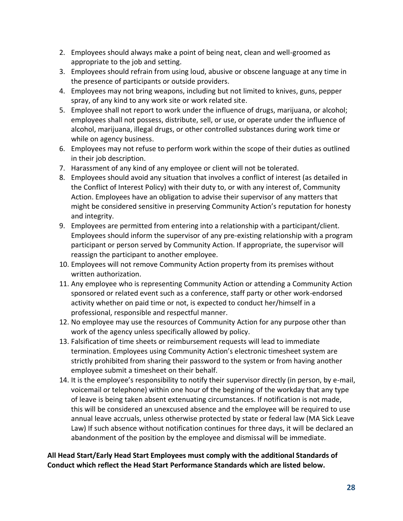- 2. Employees should always make a point of being neat, clean and well-groomed as appropriate to the job and setting.
- 3. Employees should refrain from using loud, abusive or obscene language at any time in the presence of participants or outside providers.
- 4. Employees may not bring weapons, including but not limited to knives, guns, pepper spray, of any kind to any work site or work related site.
- 5. Employee shall not report to work under the influence of drugs, marijuana, or alcohol; employees shall not possess, distribute, sell, or use, or operate under the influence of alcohol, marijuana, illegal drugs, or other controlled substances during work time or while on agency business.
- 6. Employees may not refuse to perform work within the scope of their duties as outlined in their job description.
- 7. Harassment of any kind of any employee or client will not be tolerated.
- 8. Employees should avoid any situation that involves a conflict of interest (as detailed in the Conflict of Interest Policy) with their duty to, or with any interest of, Community Action. Employees have an obligation to advise their supervisor of any matters that might be considered sensitive in preserving Community Action's reputation for honesty and integrity.
- 9. Employees are permitted from entering into a relationship with a participant/client. Employees should inform the supervisor of any pre-existing relationship with a program participant or person served by Community Action. If appropriate, the supervisor will reassign the participant to another employee.
- 10. Employees will not remove Community Action property from its premises without written authorization.
- 11. Any employee who is representing Community Action or attending a Community Action sponsored or related event such as a conference, staff party or other work-endorsed activity whether on paid time or not, is expected to conduct her/himself in a professional, responsible and respectful manner.
- 12. No employee may use the resources of Community Action for any purpose other than work of the agency unless specifically allowed by policy.
- 13. Falsification of time sheets or reimbursement requests will lead to immediate termination. Employees using Community Action's electronic timesheet system are strictly prohibited from sharing their password to the system or from having another employee submit a timesheet on their behalf.
- 14. It is the employee's responsibility to notify their supervisor directly (in person, by e-mail, voicemail or telephone) within one hour of the beginning of the workday that any type of leave is being taken absent extenuating circumstances. If notification is not made, this will be considered an unexcused absence and the employee will be required to use annual leave accruals, unless otherwise protected by state or federal law (MA Sick Leave Law) If such absence without notification continues for three days, it will be declared an abandonment of the position by the employee and dismissal will be immediate.

# **All Head Start/Early Head Start Employees must comply with the additional Standards of Conduct which reflect the Head Start Performance Standards which are listed below.**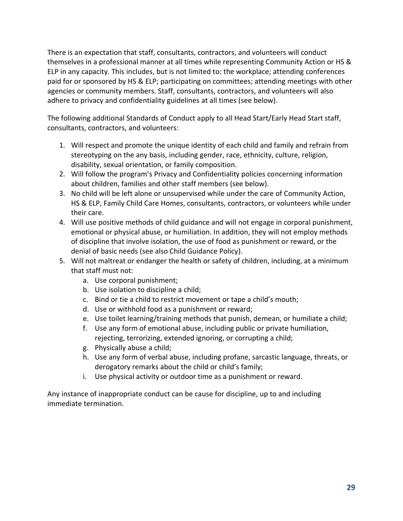There is an expectation that staff, consultants, contractors, and volunteers will conduct themselves in a professional manner at all times while representing Community Action or HS & ELP in any capacity. This includes, but is not limited to: the workplace; attending conferences paid for or sponsored by HS & ELP; participating on committees; attending meetings with other agencies or community members. Staff, consultants, contractors, and volunteers will also adhere to privacy and confidentiality guidelines at all times (see below).

The following additional Standards of Conduct apply to all Head Start/Early Head Start staff, consultants, contractors, and volunteers:

- 1. Will respect and promote the unique identity of each child and family and refrain from stereotyping on the any basis, including gender, race, ethnicity, culture, religion, disability, sexual orientation, or family composition.
- 2. Will follow the program's Privacy and Confidentiality policies concerning information about children, families and other staff members (see below).
- 3. No child will be left alone or unsupervised while under the care of Community Action, HS & ELP, Family Child Care Homes, consultants, contractors, or volunteers while under their care.
- 4. Will use positive methods of child guidance and will not engage in corporal punishment, emotional or physical abuse, or humiliation. In addition, they will not employ methods of discipline that involve isolation, the use of food as punishment or reward, or the denial of basic needs (see also Child Guidance Policy).
- 5. Will not maltreat or endanger the health or safety of children, including, at a minimum that staff must not:
	- a. Use corporal punishment;
	- b. Use isolation to discipline a child;
	- c. Bind or tie a child to restrict movement or tape a child's mouth;
	- d. Use or withhold food as a punishment or reward;
	- e. Use toilet learning/training methods that punish, demean, or humiliate a child;
	- f. Use any form of emotional abuse, including public or private humiliation, rejecting, terrorizing, extended ignoring, or corrupting a child;
	- g. Physically abuse a child;
	- h. Use any form of verbal abuse, including profane, sarcastic language, threats, or derogatory remarks about the child or child's family;
	- i. Use physical activity or outdoor time as a punishment or reward.

Any instance of inappropriate conduct can be cause for discipline, up to and including immediate termination.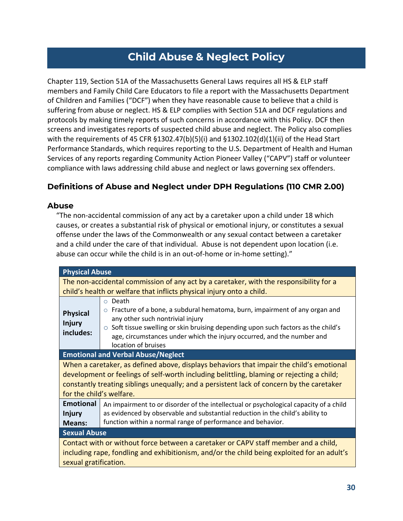# **Child Abuse & Neglect Policy**

Chapter 119, Section 51A of the Massachusetts General Laws requires all HS & ELP staff members and Family Child Care Educators to file a report with the Massachusetts Department of Children and Families ("DCF") when they have reasonable cause to believe that a child is suffering from abuse or neglect. HS & ELP complies with Section 51A and DCF regulations and protocols by making timely reports of such concerns in accordance with this Policy. DCF then screens and investigates reports of suspected child abuse and neglect. The Policy also complies with the requirements of 45 CFR §1302.47(b)(5)(i) and §1302.102(d)(1)(ii) of the Head Start Performance Standards, which requires reporting to the U.S. Department of Health and Human Services of any reports regarding Community Action Pioneer Valley ("CAPV") staff or volunteer compliance with laws addressing child abuse and neglect or laws governing sex offenders.

# **Definitions of Abuse and Neglect under DPH Regulations (110 CMR 2.00)**

### **Abuse**

"The non-accidental commission of any act by a caretaker upon a child under 18 which causes, or creates a substantial risk of physical or emotional injury, or constitutes a sexual offense under the laws of the Commonwealth or any sexual contact between a caretaker and a child under the care of that individual. Abuse is not dependent upon location (i.e. abuse can occur while the child is in an out-of-home or in-home setting)."

| <b>Physical Abuse</b>                                                                                                                                                                                                                                                                                          |                                                                                                                                                                                                                                                                                                                                         |  |
|----------------------------------------------------------------------------------------------------------------------------------------------------------------------------------------------------------------------------------------------------------------------------------------------------------------|-----------------------------------------------------------------------------------------------------------------------------------------------------------------------------------------------------------------------------------------------------------------------------------------------------------------------------------------|--|
| The non-accidental commission of any act by a caretaker, with the responsibility for a<br>child's health or welfare that inflicts physical injury onto a child.                                                                                                                                                |                                                                                                                                                                                                                                                                                                                                         |  |
| <b>Physical</b><br><b>Injury</b><br>includes:                                                                                                                                                                                                                                                                  | Death<br>$\circ$<br>$\circ$ Fracture of a bone, a subdural hematoma, burn, impairment of any organ and<br>any other such nontrivial injury<br>$\circ$ Soft tissue swelling or skin bruising depending upon such factors as the child's<br>age, circumstances under which the injury occurred, and the number and<br>location of bruises |  |
| <b>Emotional and Verbal Abuse/Neglect</b>                                                                                                                                                                                                                                                                      |                                                                                                                                                                                                                                                                                                                                         |  |
| When a caretaker, as defined above, displays behaviors that impair the child's emotional<br>development or feelings of self-worth including belittling, blaming or rejecting a child;<br>constantly treating siblings unequally; and a persistent lack of concern by the caretaker<br>for the child's welfare. |                                                                                                                                                                                                                                                                                                                                         |  |
| <b>Emotional</b><br><b>Injury</b><br><b>Means:</b>                                                                                                                                                                                                                                                             | An impairment to or disorder of the intellectual or psychological capacity of a child<br>as evidenced by observable and substantial reduction in the child's ability to<br>function within a normal range of performance and behavior.                                                                                                  |  |
| <b>Sexual Abuse</b>                                                                                                                                                                                                                                                                                            |                                                                                                                                                                                                                                                                                                                                         |  |
| Contact with or without force between a caretaker or CAPV staff member and a child,<br>including rape, fondling and exhibitionism, and/or the child being exploited for an adult's<br>sexual gratification.                                                                                                    |                                                                                                                                                                                                                                                                                                                                         |  |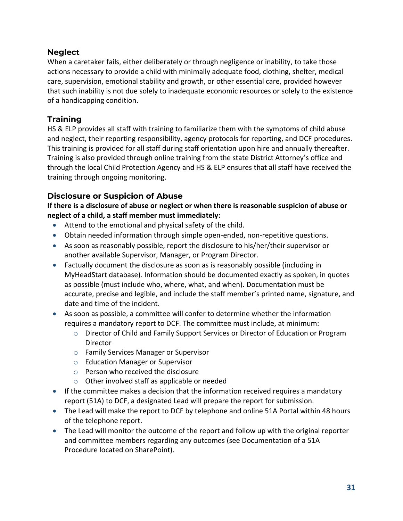# **Neglect**

When a caretaker fails, either deliberately or through negligence or inability, to take those actions necessary to provide a child with minimally adequate food, clothing, shelter, medical care, supervision, emotional stability and growth, or other essential care, provided however that such inability is not due solely to inadequate economic resources or solely to the existence of a handicapping condition.

# **Training**

HS & ELP provides all staff with training to familiarize them with the symptoms of child abuse and neglect, their reporting responsibility, agency protocols for reporting, and DCF procedures. This training is provided for all staff during staff orientation upon hire and annually thereafter. Training is also provided through online training from the state District Attorney's office and through the local Child Protection Agency and HS & ELP ensures that all staff have received the training through ongoing monitoring.

# **Disclosure or Suspicion of Abuse**

**If there is a disclosure of abuse or neglect or when there is reasonable suspicion of abuse or neglect of a child, a staff member must immediately:**

- Attend to the emotional and physical safety of the child.
- Obtain needed information through simple open-ended, non-repetitive questions.
- As soon as reasonably possible, report the disclosure to his/her/their supervisor or another available Supervisor, Manager, or Program Director.
- Factually document the disclosure as soon as is reasonably possible (including in MyHeadStart database). Information should be documented exactly as spoken, in quotes as possible (must include who, where, what, and when). Documentation must be accurate, precise and legible, and include the staff member's printed name, signature, and date and time of the incident.
- As soon as possible, a committee will confer to determine whether the information requires a mandatory report to DCF. The committee must include, at minimum:
	- o Director of Child and Family Support Services or Director of Education or Program Director
	- o Family Services Manager or Supervisor
	- o Education Manager or Supervisor
	- o Person who received the disclosure
	- o Other involved staff as applicable or needed
- If the committee makes a decision that the information received requires a mandatory report (51A) to DCF, a designated Lead will prepare the report for submission.
- The Lead will make the report to DCF by telephone and online 51A Portal within 48 hours of the telephone report.
- The Lead will monitor the outcome of the report and follow up with the original reporter and committee members regarding any outcomes (see Documentation of a 51A Procedure located on SharePoint).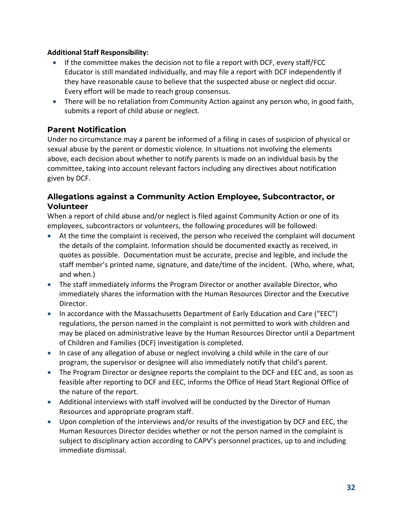### **Additional Staff Responsibility:**

- If the committee makes the decision not to file a report with DCF, every staff/FCC Educator is still mandated individually, and may file a report with DCF independently if they have reasonable cause to believe that the suspected abuse or neglect did occur. Every effort will be made to reach group consensus.
- There will be no retaliation from Community Action against any person who, in good faith, submits a report of child abuse or neglect.

# **Parent Notification**

Under no circumstance may a parent be informed of a filing in cases of suspicion of physical or sexual abuse by the parent or domestic violence. In situations not involving the elements above, each decision about whether to notify parents is made on an individual basis by the committee, taking into account relevant factors including any directives about notification given by DCF.

# **Allegations against a Community Action Employee, Subcontractor, or Volunteer**

When a report of child abuse and/or neglect is filed against Community Action or one of its employees, subcontractors or volunteers, the following procedures will be followed:

- At the time the complaint is received, the person who received the complaint will document the details of the complaint. Information should be documented exactly as received, in quotes as possible. Documentation must be accurate, precise and legible, and include the staff member's printed name, signature, and date/time of the incident. (Who, where, what, and when.)
- The staff immediately informs the Program Director or another available Director, who immediately shares the information with the Human Resources Director and the Executive Director.
- In accordance with the Massachusetts Department of Early Education and Care ("EEC") regulations, the person named in the complaint is not permitted to work with children and may be placed on administrative leave by the Human Resources Director until a Department of Children and Families (DCF) investigation is completed.
- In case of any allegation of abuse or neglect involving a child while in the care of our program, the supervisor or designee will also immediately notify that child's parent.
- The Program Director or designee reports the complaint to the DCF and EEC and, as soon as feasible after reporting to DCF and EEC, informs the Office of Head Start Regional Office of the nature of the report.
- Additional interviews with staff involved will be conducted by the Director of Human Resources and appropriate program staff.
- Upon completion of the interviews and/or results of the investigation by DCF and EEC, the Human Resources Director decides whether or not the person named in the complaint is subject to disciplinary action according to CAPV's personnel practices, up to and including immediate dismissal.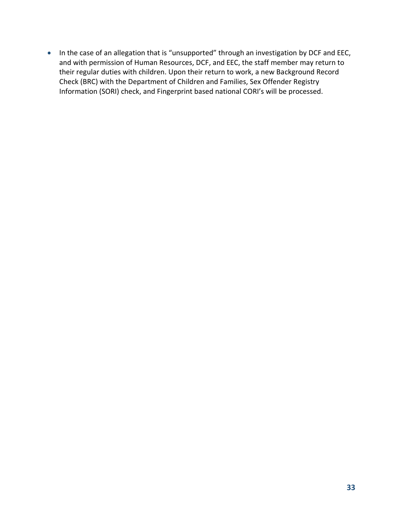• In the case of an allegation that is "unsupported" through an investigation by DCF and EEC, and with permission of Human Resources, DCF, and EEC, the staff member may return to their regular duties with children. Upon their return to work, a new Background Record Check (BRC) with the Department of Children and Families, Sex Offender Registry Information (SORI) check, and Fingerprint based national CORI's will be processed.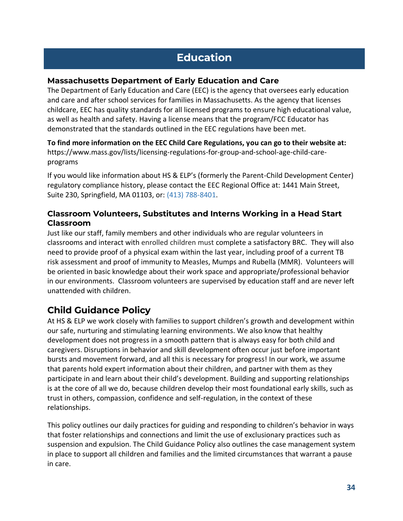# **Education**

# **Massachusetts Department of Early Education and Care**

The Department of Early Education and Care (EEC) is the agency that oversees early education and care and after school services for families in Massachusetts. As the agency that licenses childcare, EEC has quality standards for all licensed programs to ensure high educational value, as well as health and safety. Having a license means that the program/FCC Educator has demonstrated that the standards outlined in the EEC regulations have been met.

**To find more information on the EEC Child Care Regulations, you can go to their website at:** https://www.mass.gov/lists/licensing-regulations-for-group-and-school-age-child-careprograms

If you would like information about HS & ELP's (formerly the Parent-Child Development Center) regulatory compliance history, please contact the EEC Regional Office at: 1441 Main Street, Suite 230, Springfield, MA 01103, or: (413) 788-8401.

# **Classroom Volunteers, Substitutes and Interns Working in a Head Start Classroom**

Just like our staff, family members and other individuals who are regular volunteers in classrooms and interact with enrolled children must complete a satisfactory BRC. They will also need to provide proof of a physical exam within the last year, including proof of a current TB risk assessment and proof of immunity to Measles, Mumps and Rubella (MMR). Volunteers will be oriented in basic knowledge about their work space and appropriate/professional behavior in our environments. Classroom volunteers are supervised by education staff and are never left unattended with children.

# <span id="page-32-0"></span>**Child Guidance Policy**

At HS & ELP we work closely with families to support children's growth and development within our safe, nurturing and stimulating learning environments. We also know that healthy development does not progress in a smooth pattern that is always easy for both child and caregivers. Disruptions in behavior and skill development often occur just before important bursts and movement forward, and all this is necessary for progress! In our work, we assume that parents hold expert information about their children, and partner with them as they participate in and learn about their child's development. Building and supporting relationships is at the core of all we do, because children develop their most foundational early skills, such as trust in others, compassion, confidence and self-regulation, in the context of these relationships.

This policy outlines our daily practices for guiding and responding to children's behavior in ways that foster relationships and connections and limit the use of exclusionary practices such as suspension and expulsion. The Child Guidance Policy also outlines the case management system in place to support all children and families and the limited circumstances that warrant a pause in care.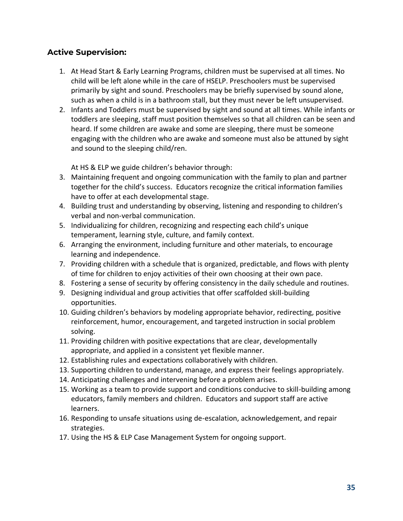# **Active Supervision:**

- 1. At Head Start & Early Learning Programs, children must be supervised at all times. No child will be left alone while in the care of HSELP. Preschoolers must be supervised primarily by sight and sound. Preschoolers may be briefly supervised by sound alone, such as when a child is in a bathroom stall, but they must never be left unsupervised.
- 2. Infants and Toddlers must be supervised by sight and sound at all times. While infants or toddlers are sleeping, staff must position themselves so that all children can be seen and heard. If some children are awake and some are sleeping, there must be someone engaging with the children who are awake and someone must also be attuned by sight and sound to the sleeping child/ren.

At HS & ELP we guide children's behavior through:

- 3. Maintaining frequent and ongoing communication with the family to plan and partner together for the child's success. Educators recognize the critical information families have to offer at each developmental stage.
- 4. Building trust and understanding by observing, listening and responding to children's verbal and non-verbal communication.
- 5. Individualizing for children, recognizing and respecting each child's unique temperament, learning style, culture, and family context.
- 6. Arranging the environment, including furniture and other materials, to encourage learning and independence.
- 7. Providing children with a schedule that is organized, predictable, and flows with plenty of time for children to enjoy activities of their own choosing at their own pace.
- 8. Fostering a sense of security by offering consistency in the daily schedule and routines.
- 9. Designing individual and group activities that offer scaffolded skill-building opportunities.
- 10. Guiding children's behaviors by modeling appropriate behavior, redirecting, positive reinforcement, humor, encouragement, and targeted instruction in social problem solving.
- 11. Providing children with positive expectations that are clear, developmentally appropriate, and applied in a consistent yet flexible manner.
- 12. Establishing rules and expectations collaboratively with children.
- 13. Supporting children to understand, manage, and express their feelings appropriately.
- 14. Anticipating challenges and intervening before a problem arises.
- 15. Working as a team to provide support and conditions conducive to skill-building among educators, family members and children. Educators and support staff are active learners.
- 16. Responding to unsafe situations using de-escalation, acknowledgement, and repair strategies.
- 17. Using the HS & ELP Case Management System for ongoing support.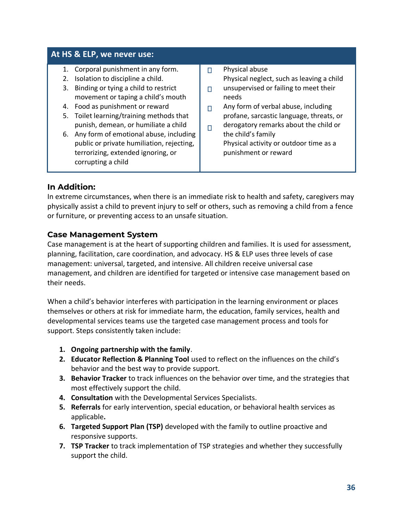### **At HS & ELP, we never use:**

- 1. Corporal punishment in any form.
- 2. Isolation to discipline a child.
- 3. Binding or tying a child to restrict movement or taping a child's mouth
- 4. Food as punishment or reward
- 5. Toilet learning/training methods that punish, demean, or humiliate a child
- 6. Any form of emotional abuse, including public or private humiliation, rejecting, terrorizing, extended ignoring, or corrupting a child
- Physical abuse  $\Box$ Physical neglect, such as leaving a child
- unsupervised or failing to meet their  $\Box$ needs
- Any form of verbal abuse, including  $\Box$ profane, sarcastic language, threats, or derogatory remarks about the child or
- $\Box$ the child's family Physical activity or outdoor time as a punishment or reward

### **In Addition:**

In extreme circumstances, when there is an immediate risk to health and safety, caregivers may physically assist a child to prevent injury to self or others, such as removing a child from a fence or furniture, or preventing access to an unsafe situation.

### **Case Management System**

Case management is at the heart of supporting children and families. It is used for assessment, planning, facilitation, care coordination, and advocacy. HS & ELP uses three levels of case management: universal, targeted, and intensive. All children receive universal case management, and children are identified for targeted or intensive case management based on their needs.

When a child's behavior interferes with participation in the learning environment or places themselves or others at risk for immediate harm, the education, family services, health and developmental services teams use the targeted case management process and tools for support. Steps consistently taken include:

- **1. Ongoing partnership with the family**.
- **2. Educator Reflection & Planning Tool** used to reflect on the influences on the child's behavior and the best way to provide support.
- **3. Behavior Tracker** to track influences on the behavior over time, and the strategies that most effectively support the child.
- **4. Consultation** with the Developmental Services Specialists.
- **5. Referrals** for early intervention, special education, or behavioral health services as applicable**.**
- **6. Targeted Support Plan (TSP)** developed with the family to outline proactive and responsive supports.
- **7. TSP Tracker** to track implementation of TSP strategies and whether they successfully support the child.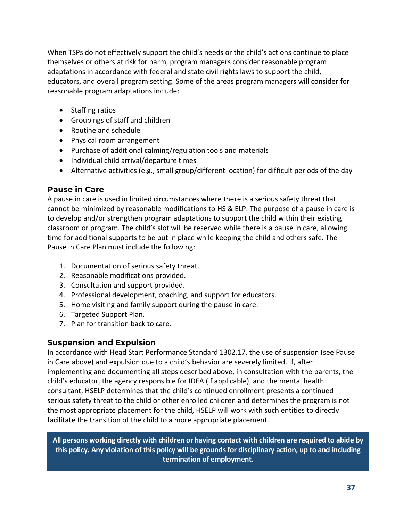When TSPs do not effectively support the child's needs or the child's actions continue to place themselves or others at risk for harm, program managers consider reasonable program adaptations in accordance with federal and state civil rights laws to support the child, educators, and overall program setting. Some of the areas program managers will consider for reasonable program adaptations include:

- Staffing ratios
- Groupings of staff and children
- Routine and schedule
- Physical room arrangement
- Purchase of additional calming/regulation tools and materials
- Individual child arrival/departure times
- Alternative activities (e.g., small group/different location) for difficult periods of the day

# **Pause in Care**

A pause in care is used in limited circumstances where there is a serious safety threat that cannot be minimized by reasonable modifications to HS & ELP. The purpose of a pause in care is to develop and/or strengthen program adaptations to support the child within their existing classroom or program. The child's slot will be reserved while there is a pause in care, allowing time for additional supports to be put in place while keeping the child and others safe. The Pause in Care Plan must include the following:

- 1. Documentation of serious safety threat.
- 2. Reasonable modifications provided.
- 3. Consultation and support provided.
- 4. Professional development, coaching, and support for educators.
- 5. Home visiting and family support during the pause in care.
- 6. Targeted Support Plan.
- 7. Plan for transition back to care.

# **Suspension and Expulsion**

In accordance with Head Start Performance Standard 1302.17, the use of suspension (see Pause in Care above) and expulsion due to a child's behavior are severely limited. If, after implementing and documenting all steps described above, in consultation with the parents, the child's educator, the agency responsible for IDEA (if applicable), and the mental health consultant, HSELP determines that the child's continued enrollment presents a continued serious safety threat to the child or other enrolled children and determines the program is not the most appropriate placement for the child, HSELP will work with such entities to directly facilitate the transition of the child to a more appropriate placement.

**All persons working directly with children or having contact with children are required to abide by this policy. Any violation of this policy will be grounds for disciplinary action, up to and including termination of employment.**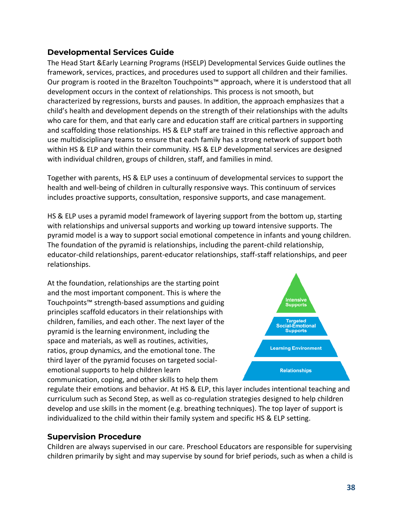# **Developmental Services Guide**

The Head Start &Early Learning Programs (HSELP) Developmental Services Guide outlines the framework, services, practices, and procedures used to support all children and their families. Our program is rooted in the Brazelton Touchpoints™ approach, where it is understood that all development occurs in the context of relationships. This process is not smooth, but characterized by regressions, bursts and pauses. In addition, the approach emphasizes that a child's health and development depends on the strength of their relationships with the adults who care for them, and that early care and education staff are critical partners in supporting and scaffolding those relationships. HS & ELP staff are trained in this reflective approach and use multidisciplinary teams to ensure that each family has a strong network of support both within HS & ELP and within their community. HS & ELP developmental services are designed with individual children, groups of children, staff, and families in mind.

Together with parents, HS & ELP uses a continuum of developmental services to support the health and well-being of children in culturally responsive ways. This continuum of services includes proactive supports, consultation, responsive supports, and case management.

HS & ELP uses a pyramid model framework of layering support from the bottom up, starting with relationships and universal supports and working up toward intensive supports. The pyramid model is a way to support social emotional competence in infants and young children. The foundation of the pyramid is relationships, including the parent-child relationship, educator-child relationships, parent-educator relationships, staff-staff relationships, and peer relationships.

At the foundation, relationships are the starting point and the most important component. This is where the Touchpoints™ strength-based assumptions and guiding principles scaffold educators in their relationships with children, families, and each other. The next layer of the pyramid is the learning environment, including the space and materials, as well as routines, activities, ratios, group dynamics, and the emotional tone. The third layer of the pyramid focuses on targeted socialemotional supports to help children learn communication, coping, and other skills to help them



regulate their emotions and behavior. At HS & ELP, this layer includes intentional teaching and curriculum such as Second Step, as well as co-regulation strategies designed to help children develop and use skills in the moment (e.g. breathing techniques). The top layer of support is individualized to the child within their family system and specific HS & ELP setting.

# **Supervision Procedure**

Children are always supervised in our care. Preschool Educators are responsible for supervising children primarily by sight and may supervise by sound for brief periods, such as when a child is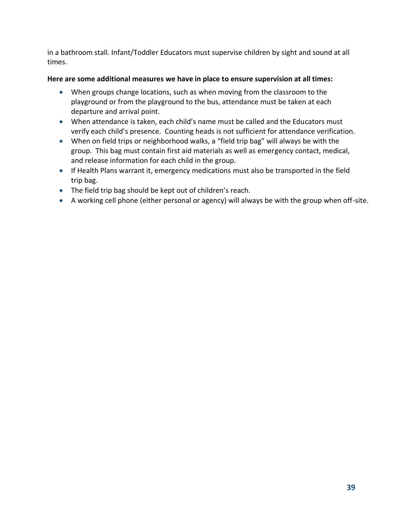in a bathroom stall. Infant/Toddler Educators must supervise children by sight and sound at all times.

### **Here are some additional measures we have in place to ensure supervision at all times:**

- When groups change locations, such as when moving from the classroom to the playground or from the playground to the bus, attendance must be taken at each departure and arrival point.
- When attendance is taken, each child's name must be called and the Educators must verify each child's presence. Counting heads is not sufficient for attendance verification.
- When on field trips or neighborhood walks, a "field trip bag" will always be with the group. This bag must contain first aid materials as well as emergency contact, medical, and release information for each child in the group.
- If Health Plans warrant it, emergency medications must also be transported in the field trip bag.
- The field trip bag should be kept out of children's reach.
- A working cell phone (either personal or agency) will always be with the group when off-site.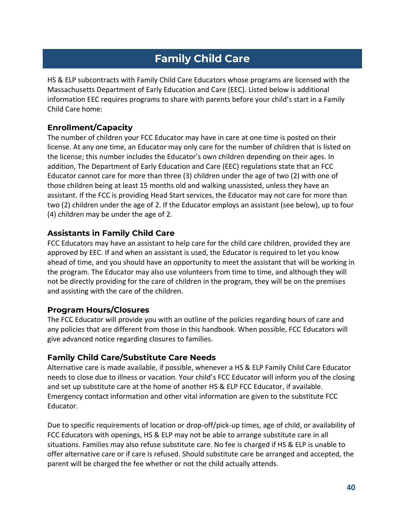# **Family Child Care**

HS & ELP subcontracts with Family Child Care Educators whose programs are licensed with the Massachusetts Department of Early Education and Care (EEC). Listed below is additional information EEC requires programs to share with parents before your child's start in a Family Child Care home:

# **Enrollment/Capacity**

The number of children your FCC Educator may have in care at one time is posted on their license. At any one time, an Educator may only care for the number of children that is listed on the license; this number includes the Educator's own children depending on their ages. In addition, The Department of Early Education and Care (EEC) regulations state that an FCC Educator cannot care for more than three (3) children under the age of two (2) with one of those children being at least 15 months old and walking unassisted, unless they have an assistant. If the FCC is providing Head Start services, the Educator may not care for more than two (2) children under the age of 2. If the Educator employs an assistant (see below), up to four (4) children may be under the age of 2.

# **Assistants in Family Child Care**

FCC Educators may have an assistant to help care for the child care children, provided they are approved by EEC. If and when an assistant is used, the Educator is required to let you know ahead of time, and you should have an opportunity to meet the assistant that will be working in the program. The Educator may also use volunteers from time to time, and although they will not be directly providing for the care of children in the program, they will be on the premises and assisting with the care of the children.

### **Program Hours/Closures**

The FCC Educator will provide you with an outline of the policies regarding hours of care and any policies that are different from those in this handbook. When possible, FCC Educators will give advanced notice regarding closures to families.

# **Family Child Care/Substitute Care Needs**

Alternative care is made available, if possible, whenever a HS & ELP Family Child Care Educator needs to close due to illness or vacation. Your child's FCC Educator will inform you of the closing and set up substitute care at the home of another HS & ELP FCC Educator, if available. Emergency contact information and other vital information are given to the substitute FCC Educator.

Due to specific requirements of location or drop-off/pick-up times, age of child, or availability of FCC Educators with openings, HS & ELP may not be able to arrange substitute care in all situations. Families may also refuse substitute care. No fee is charged if HS & ELP is unable to offer alternative care or if care is refused. Should substitute care be arranged and accepted, the parent will be charged the fee whether or not the child actually attends.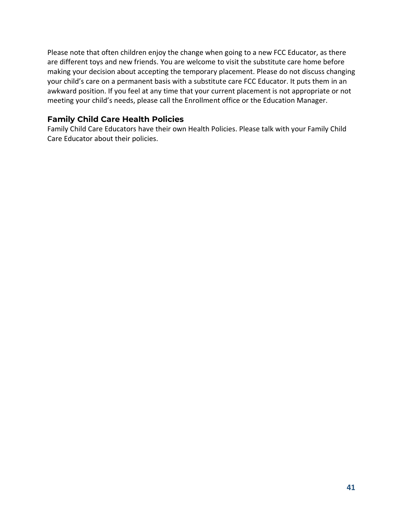Please note that often children enjoy the change when going to a new FCC Educator, as there are different toys and new friends. You are welcome to visit the substitute care home before making your decision about accepting the temporary placement. Please do not discuss changing your child's care on a permanent basis with a substitute care FCC Educator. It puts them in an awkward position. If you feel at any time that your current placement is not appropriate or not meeting your child's needs, please call the Enrollment office or the Education Manager.

# **Family Child Care Health Policies**

Family Child Care Educators have their own Health Policies. Please talk with your Family Child Care Educator about their policies.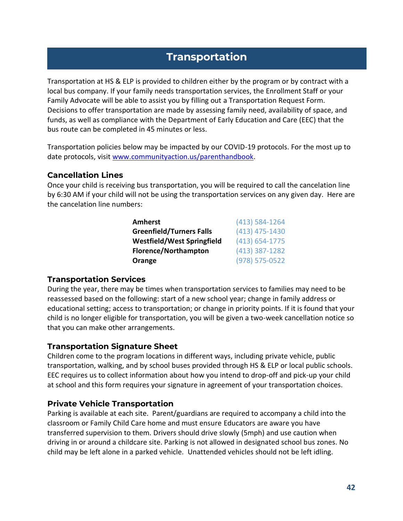# **Transportation**

Transportation at HS & ELP is provided to children either by the program or by contract with a local bus company. If your family needs transportation services, the Enrollment Staff or your Family Advocate will be able to assist you by filling out a Transportation Request Form. Decisions to offer transportation are made by assessing family need, availability of space, and funds, as well as compliance with the Department of Early Education and Care (EEC) that the bus route can be completed in 45 minutes or less.

Transportation policies below may be impacted by our COVID-19 protocols. For the most up to date protocols, visit [www.communityaction.us/parenthandbook.](http://www.communityaction.us/parenthandbook)

### **Cancellation Lines**

Once your child is receiving bus transportation, you will be required to call the cancelation line by 6:30 AM if your child will not be using the transportation services on any given day. Here are the cancelation line numbers:

| (413) 584-1264 |
|----------------|
| (413) 475-1430 |
| (413) 654-1775 |
| (413) 387-1282 |
| (978) 575-0522 |
|                |

# **Transportation Services**

During the year, there may be times when transportation services to families may need to be reassessed based on the following: start of a new school year; change in family address or educational setting; access to transportation; or change in priority points. If it is found that your child is no longer eligible for transportation, you will be given a two-week cancellation notice so that you can make other arrangements.

# **Transportation Signature Sheet**

Children come to the program locations in different ways, including private vehicle, public transportation, walking, and by school buses provided through HS & ELP or local public schools. EEC requires us to collect information about how you intend to drop-off and pick-up your child at school and this form requires your signature in agreement of your transportation choices.

# **Private Vehicle Transportation**

Parking is available at each site. Parent/guardians are required to accompany a child into the classroom or Family Child Care home and must ensure Educators are aware you have transferred supervision to them. Drivers should drive slowly (5mph) and use caution when driving in or around a childcare site. Parking is not allowed in designated school bus zones. No child may be left alone in a parked vehicle. Unattended vehicles should not be left idling.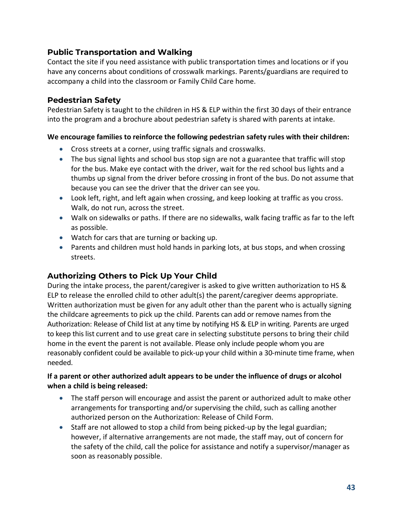# **Public Transportation and Walking**

Contact the site if you need assistance with public transportation times and locations or if you have any concerns about conditions of crosswalk markings. Parents/guardians are required to accompany a child into the classroom or Family Child Care home.

### **Pedestrian Safety**

Pedestrian Safety is taught to the children in HS & ELP within the first 30 days of their entrance into the program and a brochure about pedestrian safety is shared with parents at intake.

### **We encourage families to reinforce the following pedestrian safety rules with their children:**

- Cross streets at a corner, using traffic signals and crosswalks.
- The bus signal lights and school bus stop sign are not a guarantee that traffic will stop for the bus. Make eye contact with the driver, wait for the red school bus lights and a thumbs up signal from the driver before crossing in front of the bus. Do not assume that because you can see the driver that the driver can see you.
- Look left, right, and left again when crossing, and keep looking at traffic as you cross. Walk, do not run, across the street.
- Walk on sidewalks or paths. If there are no sidewalks, walk facing traffic as far to the left as possible.
- Watch for cars that are turning or backing up.
- Parents and children must hold hands in parking lots, at bus stops, and when crossing streets.

# **Authorizing Others to Pick Up Your Child**

During the intake process, the parent/caregiver is asked to give written authorization to HS & ELP to release the enrolled child to other adult(s) the parent/caregiver deems appropriate. Written authorization must be given for any adult other than the parent who is actually signing the childcare agreements to pick up the child. Parents can add or remove names from the Authorization: Release of Child list at any time by notifying HS & ELP in writing. Parents are urged to keep this list current and to use great care in selecting substitute persons to bring their child home in the event the parent is not available. Please only include people whom you are reasonably confident could be available to pick-up your child within a 30-minute time frame, when needed.

### **If a parent or other authorized adult appears to be under the influence of drugs or alcohol when a child is being released:**

- The staff person will encourage and assist the parent or authorized adult to make other arrangements for transporting and/or supervising the child, such as calling another authorized person on the Authorization: Release of Child Form.
- Staff are not allowed to stop a child from being picked-up by the legal guardian; however, if alternative arrangements are not made, the staff may, out of concern for the safety of the child, call the police for assistance and notify a supervisor/manager as soon as reasonably possible.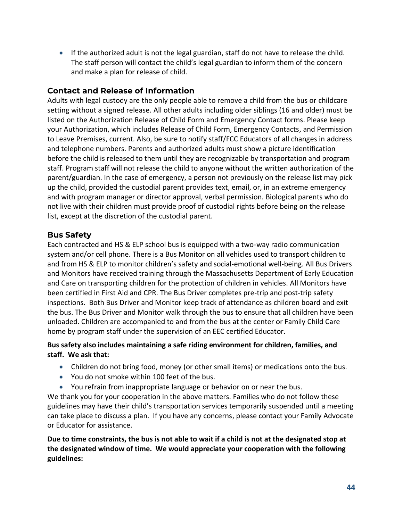• If the authorized adult is not the legal guardian, staff do not have to release the child. The staff person will contact the child's legal guardian to inform them of the concern and make a plan for release of child.

# **Contact and Release of Information**

Adults with legal custody are the only people able to remove a child from the bus or childcare setting without a signed release. All other adults including older siblings (16 and older) must be listed on the Authorization Release of Child Form and Emergency Contact forms. Please keep your Authorization, which includes Release of Child Form, Emergency Contacts, and Permission to Leave Premises, current. Also, be sure to notify staff/FCC Educators of all changes in address and telephone numbers. Parents and authorized adults must show a picture identification before the child is released to them until they are recognizable by transportation and program staff. Program staff will not release the child to anyone without the written authorization of the parent/guardian. In the case of emergency, a person not previously on the release list may pick up the child, provided the custodial parent provides text, email, or, in an extreme emergency and with program manager or director approval, verbal permission. Biological parents who do not live with their children must provide proof of custodial rights before being on the release list, except at the discretion of the custodial parent.

# **Bus Safety**

Each contracted and HS & ELP school bus is equipped with a two-way radio communication system and/or cell phone. There is a Bus Monitor on all vehicles used to transport children to and from HS & ELP to monitor children's safety and social-emotional well-being. All Bus Drivers and Monitors have received training through the Massachusetts Department of Early Education and Care on transporting children for the protection of children in vehicles. All Monitors have been certified in First Aid and CPR. The Bus Driver completes pre-trip and post-trip safety inspections. Both Bus Driver and Monitor keep track of attendance as children board and exit the bus. The Bus Driver and Monitor walk through the bus to ensure that all children have been unloaded. Children are accompanied to and from the bus at the center or Family Child Care home by program staff under the supervision of an EEC certified Educator.

### **Bus safety also includes maintaining a safe riding environment for children, families, and staff. We ask that:**

- Children do not bring food, money (or other small items) or medications onto the bus.
- You do not smoke within 100 feet of the bus.
- You refrain from inappropriate language or behavior on or near the bus.

We thank you for your cooperation in the above matters. Families who do not follow these guidelines may have their child's transportation services temporarily suspended until a meeting can take place to discuss a plan. If you have any concerns, please contact your Family Advocate or Educator for assistance.

**Due to time constraints, the bus is not able to wait if a child is not at the designated stop at the designated window of time. We would appreciate your cooperation with the following guidelines:**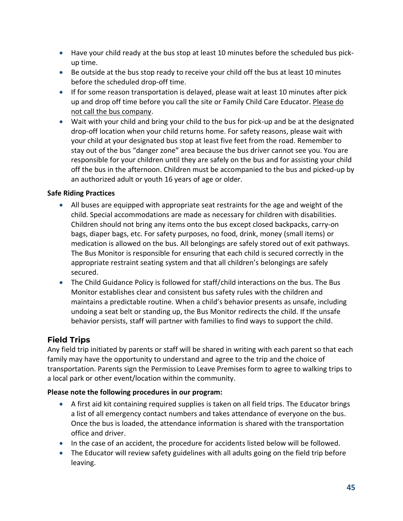- Have your child ready at the bus stop at least 10 minutes before the scheduled bus pickup time.
- Be outside at the bus stop ready to receive your child off the bus at least 10 minutes before the scheduled drop-off time.
- If for some reason transportation is delayed, please wait at least 10 minutes after pick up and drop off time before you call the site or Family Child Care Educator. Please do not call the bus company.
- Wait with your child and bring your child to the bus for pick-up and be at the designated drop-off location when your child returns home. For safety reasons, please wait with your child at your designated bus stop at least five feet from the road. Remember to stay out of the bus "danger zone" area because the bus driver cannot see you. You are responsible for your children until they are safely on the bus and for assisting your child off the bus in the afternoon. Children must be accompanied to the bus and picked-up by an authorized adult or youth 16 years of age or older.

### **Safe Riding Practices**

- All buses are equipped with appropriate seat restraints for the age and weight of the child. Special accommodations are made as necessary for children with disabilities. Children should not bring any items onto the bus except closed backpacks, carry-on bags, diaper bags, etc. For safety purposes, no food, drink, money (small items) or medication is allowed on the bus. All belongings are safely stored out of exit pathways. The Bus Monitor is responsible for ensuring that each child is secured correctly in the appropriate restraint seating system and that all children's belongings are safely secured.
- The Child Guidance Policy is followed for staff/child interactions on the bus. The Bus Monitor establishes clear and consistent bus safety rules with the children and maintains a predictable routine. When a child's behavior presents as unsafe, including undoing a seat belt or standing up, the Bus Monitor redirects the child. If the unsafe behavior persists, staff will partner with families to find ways to support the child.

# **Field Trips**

Any field trip initiated by parents or staff will be shared in writing with each parent so that each family may have the opportunity to understand and agree to the trip and the choice of transportation. Parents sign the Permission to Leave Premises form to agree to walking trips to a local park or other event/location within the community.

### **Please note the following procedures in our program:**

- A first aid kit containing required supplies is taken on all field trips. The Educator brings a list of all emergency contact numbers and takes attendance of everyone on the bus. Once the bus is loaded, the attendance information is shared with the transportation office and driver.
- In the case of an accident, the procedure for accidents listed below will be followed.
- The Educator will review safety guidelines with all adults going on the field trip before leaving.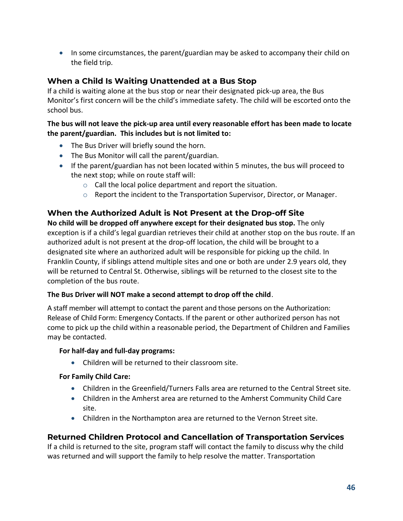• In some circumstances, the parent/guardian may be asked to accompany their child on the field trip.

# **When a Child Is Waiting Unattended at a Bus Stop**

If a child is waiting alone at the bus stop or near their designated pick-up area, the Bus Monitor's first concern will be the child's immediate safety. The child will be escorted onto the school bus.

**The bus will not leave the pick-up area until every reasonable effort has been made to locate the parent/guardian. This includes but is not limited to:**

- The Bus Driver will briefly sound the horn.
- The Bus Monitor will call the parent/guardian.
- If the parent/guardian has not been located within 5 minutes, the bus will proceed to the next stop; while on route staff will:
	- o Call the local police department and report the situation.
	- $\circ$  Report the incident to the Transportation Supervisor, Director, or Manager.

# **When the Authorized Adult is Not Present at the Drop-off Site**

**No child will be dropped off anywhere except for their designated bus stop.** The only exception is if a child's legal guardian retrieves their child at another stop on the bus route. If an authorized adult is not present at the drop-off location, the child will be brought to a designated site where an authorized adult will be responsible for picking up the child. In Franklin County, if siblings attend multiple sites and one or both are under 2.9 years old, they will be returned to Central St. Otherwise, siblings will be returned to the closest site to the completion of the bus route.

### **The Bus Driver will NOT make a second attempt to drop off the child**.

A staff member will attempt to contact the parent and those persons on the Authorization: Release of Child Form: Emergency Contacts. If the parent or other authorized person has not come to pick up the child within a reasonable period, the Department of Children and Families may be contacted.

### **For half-day and full-day programs:**

• Children will be returned to their classroom site.

### **For Family Child Care:**

- Children in the Greenfield/Turners Falls area are returned to the Central Street site.
- Children in the Amherst area are returned to the Amherst Community Child Care site.
- Children in the Northampton area are returned to the Vernon Street site.

# **Returned Children Protocol and Cancellation of Transportation Services**

If a child is returned to the site, program staff will contact the family to discuss why the child was returned and will support the family to help resolve the matter. Transportation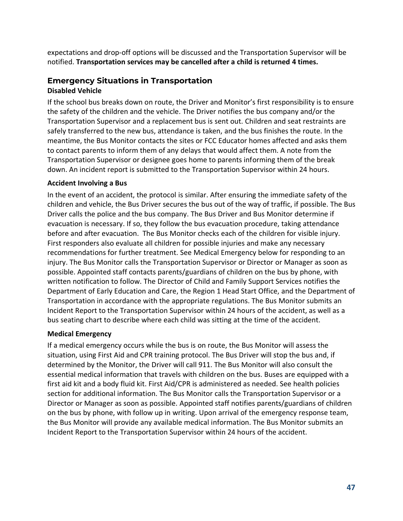expectations and drop-off options will be discussed and the Transportation Supervisor will be notified. **Transportation services may be cancelled after a child is returned 4 times.**

# **Emergency Situations in Transportation Disabled Vehicle**

If the school bus breaks down on route, the Driver and Monitor's first responsibility is to ensure the safety of the children and the vehicle. The Driver notifies the bus company and/or the Transportation Supervisor and a replacement bus is sent out. Children and seat restraints are safely transferred to the new bus, attendance is taken, and the bus finishes the route. In the meantime, the Bus Monitor contacts the sites or FCC Educator homes affected and asks them to contact parents to inform them of any delays that would affect them. A note from the Transportation Supervisor or designee goes home to parents informing them of the break down. An incident report is submitted to the Transportation Supervisor within 24 hours.

### **Accident Involving a Bus**

In the event of an accident, the protocol is similar. After ensuring the immediate safety of the children and vehicle, the Bus Driver secures the bus out of the way of traffic, if possible. The Bus Driver calls the police and the bus company. The Bus Driver and Bus Monitor determine if evacuation is necessary. If so, they follow the bus evacuation procedure, taking attendance before and after evacuation. The Bus Monitor checks each of the children for visible injury. First responders also evaluate all children for possible injuries and make any necessary recommendations for further treatment. See Medical Emergency below for responding to an injury. The Bus Monitor calls the Transportation Supervisor or Director or Manager as soon as possible. Appointed staff contacts parents/guardians of children on the bus by phone, with written notification to follow. The Director of Child and Family Support Services notifies the Department of Early Education and Care, the Region 1 Head Start Office, and the Department of Transportation in accordance with the appropriate regulations. The Bus Monitor submits an Incident Report to the Transportation Supervisor within 24 hours of the accident, as well as a bus seating chart to describe where each child was sitting at the time of the accident.

# **Medical Emergency**

If a medical emergency occurs while the bus is on route, the Bus Monitor will assess the situation, using First Aid and CPR training protocol. The Bus Driver will stop the bus and, if determined by the Monitor, the Driver will call 911. The Bus Monitor will also consult the essential medical information that travels with children on the bus. Buses are equipped with a first aid kit and a body fluid kit. First Aid/CPR is administered as needed. See health policies section for additional information. The Bus Monitor calls the Transportation Supervisor or a Director or Manager as soon as possible. Appointed staff notifies parents/guardians of children on the bus by phone, with follow up in writing. Upon arrival of the emergency response team, the Bus Monitor will provide any available medical information. The Bus Monitor submits an Incident Report to the Transportation Supervisor within 24 hours of the accident.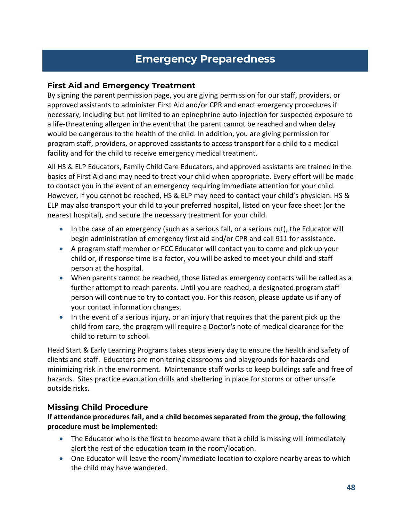# **Emergency Preparedness**

### **First Aid and Emergency Treatment**

By signing the parent permission page, you are giving permission for our staff, providers, or approved assistants to administer First Aid and/or CPR and enact emergency procedures if necessary, including but not limited to an epinephrine auto-injection for suspected exposure to a life-threatening allergen in the event that the parent cannot be reached and when delay would be dangerous to the health of the child. In addition, you are giving permission for program staff, providers, or approved assistants to access transport for a child to a medical facility and for the child to receive emergency medical treatment.

All HS & ELP Educators, Family Child Care Educators, and approved assistants are trained in the basics of First Aid and may need to treat your child when appropriate. Every effort will be made to contact you in the event of an emergency requiring immediate attention for your child. However, if you cannot be reached, HS & ELP may need to contact your child's physician. HS & ELP may also transport your child to your preferred hospital, listed on your face sheet (or the nearest hospital), and secure the necessary treatment for your child.

- In the case of an emergency (such as a serious fall, or a serious cut), the Educator will begin administration of emergency first aid and/or CPR and call 911 for assistance.
- A program staff member or FCC Educator will contact you to come and pick up your child or, if response time is a factor, you will be asked to meet your child and staff person at the hospital.
- When parents cannot be reached, those listed as emergency contacts will be called as a further attempt to reach parents. Until you are reached, a designated program staff person will continue to try to contact you. For this reason, please update us if any of your contact information changes.
- In the event of a serious injury, or an injury that requires that the parent pick up the child from care, the program will require a Doctor's note of medical clearance for the child to return to school.

Head Start & Early Learning Programs takes steps every day to ensure the health and safety of clients and staff. Educators are monitoring classrooms and playgrounds for hazards and minimizing risk in the environment. Maintenance staff works to keep buildings safe and free of hazards. Sites practice evacuation drills and sheltering in place for storms or other unsafe outside risks**.** 

# **Missing Child Procedure**

### **If attendance procedures fail, and a child becomes separated from the group, the following procedure must be implemented:**

- The Educator who is the first to become aware that a child is missing will immediately alert the rest of the education team in the room/location.
- One Educator will leave the room/immediate location to explore nearby areas to which the child may have wandered.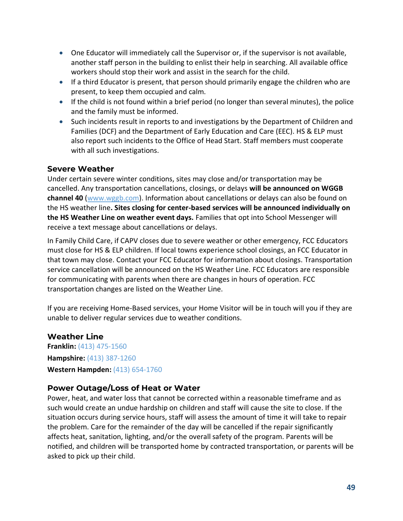- One Educator will immediately call the Supervisor or, if the supervisor is not available, another staff person in the building to enlist their help in searching. All available office workers should stop their work and assist in the search for the child.
- If a third Educator is present, that person should primarily engage the children who are present, to keep them occupied and calm.
- If the child is not found within a brief period (no longer than several minutes), the police and the family must be informed.
- Such incidents result in reports to and investigations by the Department of Children and Families (DCF) and the Department of Early Education and Care (EEC). HS & ELP must also report such incidents to the Office of Head Start. Staff members must cooperate with all such investigations.

# **Severe Weather**

Under certain severe winter conditions, sites may close and/or transportation may be cancelled. Any transportation cancellations, closings, or delays **will be announced on WGGB channel 40** [\(www.wggb.com\)](http://www.wggb.com/). Information about cancellations or delays can also be found on the HS weather line**. Sites closing for center-based services will be announced individually on the HS Weather Line on weather event days.** Families that opt into School Messenger will receive a text message about cancellations or delays.

In Family Child Care, if CAPV closes due to severe weather or other emergency, FCC Educators must close for HS & ELP children. If local towns experience school closings, an FCC Educator in that town may close. Contact your FCC Educator for information about closings. Transportation service cancellation will be announced on the HS Weather Line. FCC Educators are responsible for communicating with parents when there are changes in hours of operation. FCC transportation changes are listed on the Weather Line.

If you are receiving Home-Based services, your Home Visitor will be in touch will you if they are unable to deliver regular services due to weather conditions.

### **Weather Line**

**Franklin:** (413) 475-1560 **Hampshire:** (413) 387-1260 **Western Hampden:** (413) 654-1760

### **Power Outage/Loss of Heat or Water**

Power, heat, and water loss that cannot be corrected within a reasonable timeframe and as such would create an undue hardship on children and staff will cause the site to close. If the situation occurs during service hours, staff will assess the amount of time it will take to repair the problem. Care for the remainder of the day will be cancelled if the repair significantly affects heat, sanitation, lighting, and/or the overall safety of the program. Parents will be notified, and children will be transported home by contracted transportation, or parents will be asked to pick up their child.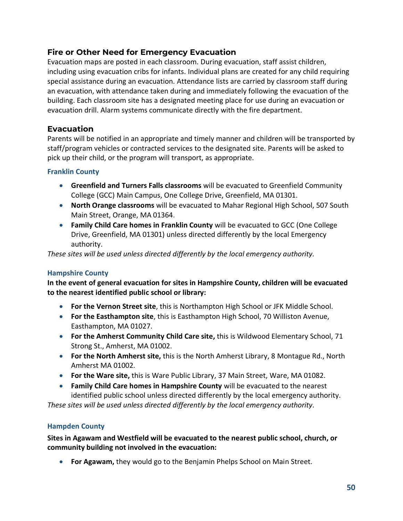# **Fire or Other Need for Emergency Evacuation**

Evacuation maps are posted in each classroom. During evacuation, staff assist children, including using evacuation cribs for infants. Individual plans are created for any child requiring special assistance during an evacuation. Attendance lists are carried by classroom staff during an evacuation, with attendance taken during and immediately following the evacuation of the building. Each classroom site has a designated meeting place for use during an evacuation or evacuation drill. Alarm systems communicate directly with the fire department.

# **Evacuation**

Parents will be notified in an appropriate and timely manner and children will be transported by staff/program vehicles or contracted services to the designated site. Parents will be asked to pick up their child, or the program will transport, as appropriate.

### **Franklin County**

- **Greenfield and Turners Falls classrooms** will be evacuated to Greenfield Community College (GCC) Main Campus, One College Drive, Greenfield, MA 01301.
- **North Orange classrooms** will be evacuated to Mahar Regional High School, 507 South Main Street, Orange, MA 01364.
- **Family Child Care homes in Franklin County** will be evacuated to GCC (One College Drive, Greenfield, MA 01301) unless directed differently by the local Emergency authority.

*These sites will be used unless directed differently by the local emergency authority.* 

### **Hampshire County**

**In the event of general evacuation for sites in Hampshire County, children will be evacuated to the nearest identified public school or library:**

- **For the Vernon Street site**, this is Northampton High School or JFK Middle School.
- **For the Easthampton site**, this is Easthampton High School, 70 Williston Avenue, Easthampton, MA 01027.
- **For the Amherst Community Child Care site,** this is Wildwood Elementary School, 71 Strong St., Amherst, MA 01002.
- **For the North Amherst site,** this is the North Amherst Library, 8 Montague Rd., North Amherst MA 01002.
- **For the Ware site,** this is Ware Public Library, 37 Main Street, Ware, MA 01082.
- **Family Child Care homes in Hampshire County** will be evacuated to the nearest identified public school unless directed differently by the local emergency authority.

*These sites will be used unless directed differently by the local emergency authority.*

#### **Hampden County**

**Sites in Agawam and Westfield will be evacuated to the nearest public school, church, or community building not involved in the evacuation:**

• **For Agawam,** they would go to the Benjamin Phelps School on Main Street.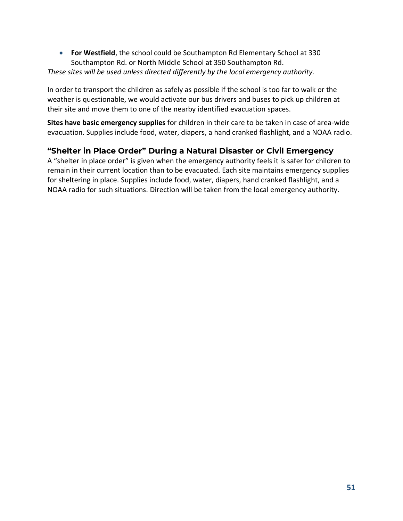• **For Westfield**, the school could be Southampton Rd Elementary School at 330 Southampton Rd. or North Middle School at 350 Southampton Rd.

### *These sites will be used unless directed differently by the local emergency authority.*

In order to transport the children as safely as possible if the school is too far to walk or the weather is questionable, we would activate our bus drivers and buses to pick up children at their site and move them to one of the nearby identified evacuation spaces.

**Sites have basic emergency supplies** for children in their care to be taken in case of area-wide evacuation. Supplies include food, water, diapers, a hand cranked flashlight, and a NOAA radio.

# **"Shelter in Place Order" During a Natural Disaster or Civil Emergency**

A "shelter in place order" is given when the emergency authority feels it is safer for children to remain in their current location than to be evacuated. Each site maintains emergency supplies for sheltering in place. Supplies include food, water, diapers, hand cranked flashlight, and a NOAA radio for such situations. Direction will be taken from the local emergency authority.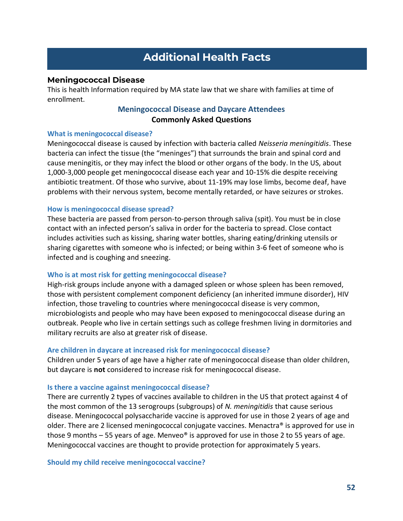# **Additional Health Facts**

#### **Meningococcal Disease**

This is health Information required by MA state law that we share with families at time of enrollment.

### **Meningococcal Disease and Daycare Attendees Commonly Asked Questions**

#### **What is meningococcal disease?**

Meningococcal disease is caused by infection with bacteria called *Neisseria meningitidis*. These bacteria can infect the tissue (the "meninges") that surrounds the brain and spinal cord and cause meningitis, or they may infect the blood or other organs of the body. In the US, about 1,000-3,000 people get meningococcal disease each year and 10-15% die despite receiving antibiotic treatment. Of those who survive, about 11-19% may lose limbs, become deaf, have problems with their nervous system, become mentally retarded, or have seizures or strokes.

#### **How is meningococcal disease spread?**

These bacteria are passed from person-to-person through saliva (spit). You must be in close contact with an infected person's saliva in order for the bacteria to spread. Close contact includes activities such as kissing, sharing water bottles, sharing eating/drinking utensils or sharing cigarettes with someone who is infected; or being within 3-6 feet of someone who is infected and is coughing and sneezing.

#### **Who is at most risk for getting meningococcal disease?**

High-risk groups include anyone with a damaged spleen or whose spleen has been removed, those with persistent complement component deficiency (an inherited immune disorder), HIV infection, those traveling to countries where meningococcal disease is very common, microbiologists and people who may have been exposed to meningococcal disease during an outbreak. People who live in certain settings such as college freshmen living in dormitories and military recruits are also at greater risk of disease.

#### **Are children in daycare at increased risk for meningococcal disease?**

Children under 5 years of age have a higher rate of meningococcal disease than older children, but daycare is **not** considered to increase risk for meningococcal disease.

#### **Is there a vaccine against meningococcal disease?**

There are currently 2 types of vaccines available to children in the US that protect against 4 of the most common of the 13 serogroups (subgroups) of *N. meningitidis* that cause serious disease. Meningococcal polysaccharide vaccine is approved for use in those 2 years of age and older. There are 2 licensed meningococcal conjugate vaccines. Menactra® is approved for use in those 9 months  $-55$  years of age. Menveo<sup>®</sup> is approved for use in those 2 to 55 years of age. Meningococcal vaccines are thought to provide protection for approximately 5 years.

**Should my child receive meningococcal vaccine?**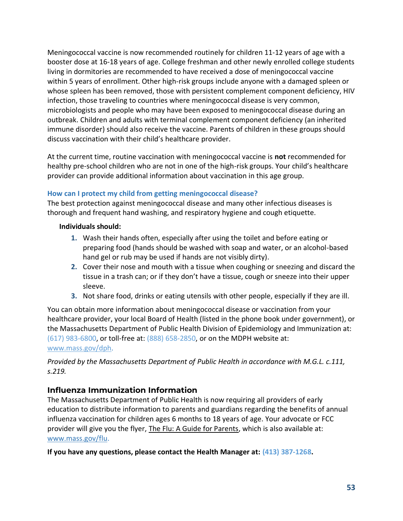Meningococcal vaccine is now recommended routinely for children 11-12 years of age with a booster dose at 16-18 years of age. College freshman and other newly enrolled college students living in dormitories are recommended to have received a dose of meningococcal vaccine within 5 years of enrollment. Other high-risk groups include anyone with a damaged spleen or whose spleen has been removed, those with persistent complement component deficiency, HIV infection, those traveling to countries where meningococcal disease is very common, microbiologists and people who may have been exposed to meningococcal disease during an outbreak. Children and adults with terminal complement component deficiency (an inherited immune disorder) should also receive the vaccine. Parents of children in these groups should discuss vaccination with their child's healthcare provider.

At the current time, routine vaccination with meningococcal vaccine is **not** recommended for healthy pre-school children who are not in one of the high-risk groups. Your child's healthcare provider can provide additional information about vaccination in this age group.

# **How can I protect my child from getting meningococcal disease?**

The best protection against meningococcal disease and many other infectious diseases is thorough and frequent hand washing, and respiratory hygiene and cough etiquette.

### **Individuals should:**

- **1.** Wash their hands often, especially after using the toilet and before eating or preparing food (hands should be washed with soap and water, or an alcohol-based hand gel or rub may be used if hands are not visibly dirty).
- **2.** Cover their nose and mouth with a tissue when coughing or sneezing and discard the tissue in a trash can; or if they don't have a tissue, cough or sneeze into their upper sleeve.
- **3.** Not share food, drinks or eating utensils with other people, especially if they are ill.

You can obtain more information about meningococcal disease or vaccination from your healthcare provider, your local Board of Health (listed in the phone book under government), or the Massachusetts Department of Public Health Division of Epidemiology and Immunization at: (617) 983-6800, or toll-free at: (888) 658-2850, or on the MDPH website at: [www.mass.gov/dph.](http://www.mass.gov/dph)

*Provided by the Massachusetts Department of Public Health in accordance with M.G.L. c.111, s.219.*

# **Influenza Immunization Information**

The Massachusetts Department of Public Health is now requiring all providers of early education to distribute information to parents and guardians regarding the benefits of annual influenza vaccination for children ages 6 months to 18 years of age. Your advocate or FCC provider will give you the flyer, The Flu: A Guide for Parents, which is also available at: [www.mass.gov/flu.](http://www.mass.gov/flu)

**If you have any questions, please contact the Health Manager at: (413) 387-1268.**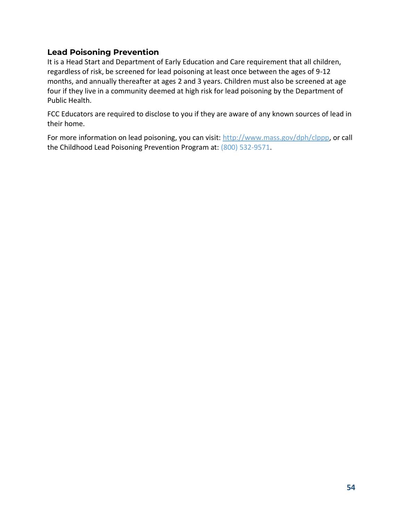# **Lead Poisoning Prevention**

It is a Head Start and Department of Early Education and Care requirement that all children, regardless of risk, be screened for lead poisoning at least once between the ages of 9-12 months, and annually thereafter at ages 2 and 3 years. Children must also be screened at age four if they live in a community deemed at high risk for lead poisoning by the Department of Public Health.

FCC Educators are required to disclose to you if they are aware of any known sources of lead in their home.

For more information on lead poisoning, you can visit: [http://www.mass.gov/dph/clppp,](http://www.mass.gov/dph/clppp) or call the Childhood Lead Poisoning Prevention Program at: (800) 532-9571.